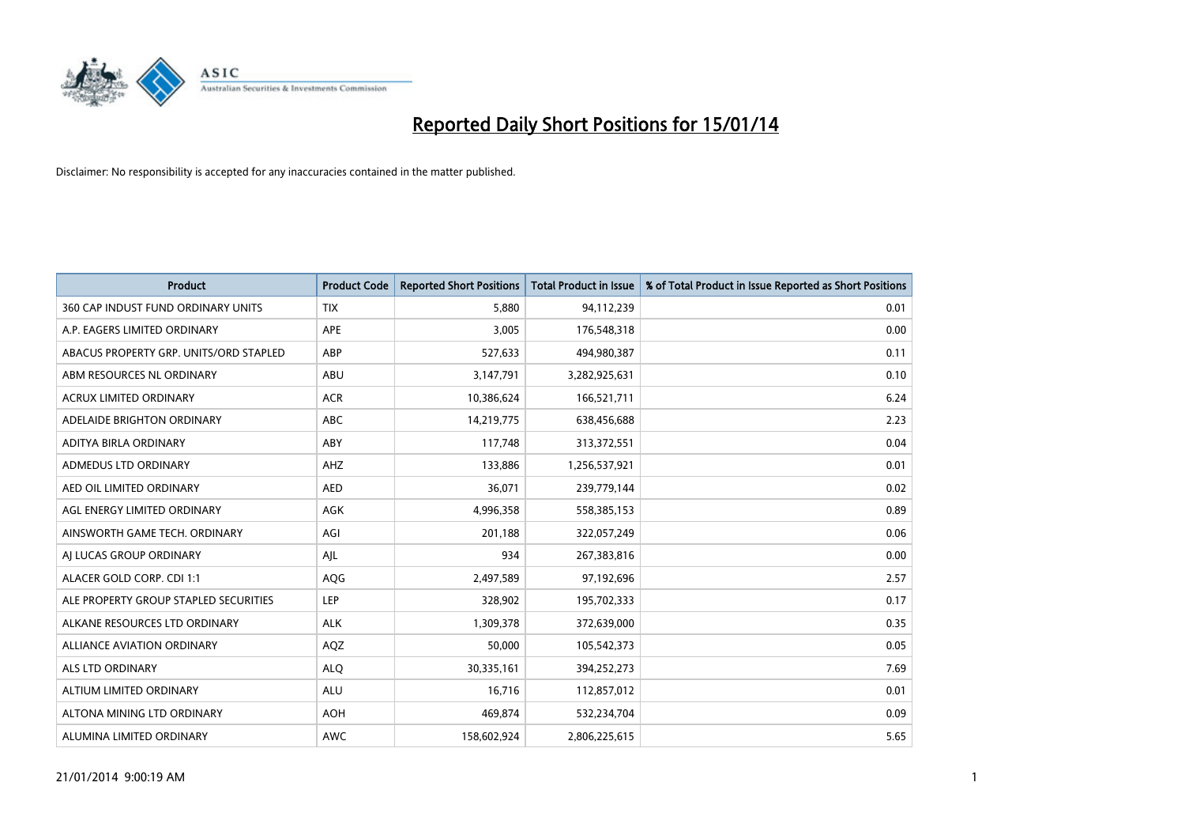

| <b>Product</b>                         | <b>Product Code</b> | <b>Reported Short Positions</b> | <b>Total Product in Issue</b> | % of Total Product in Issue Reported as Short Positions |
|----------------------------------------|---------------------|---------------------------------|-------------------------------|---------------------------------------------------------|
| 360 CAP INDUST FUND ORDINARY UNITS     | <b>TIX</b>          | 5,880                           | 94,112,239                    | 0.01                                                    |
| A.P. EAGERS LIMITED ORDINARY           | APE                 | 3,005                           | 176,548,318                   | 0.00                                                    |
| ABACUS PROPERTY GRP. UNITS/ORD STAPLED | ABP                 | 527,633                         | 494,980,387                   | 0.11                                                    |
| ABM RESOURCES NL ORDINARY              | ABU                 | 3,147,791                       | 3,282,925,631                 | 0.10                                                    |
| <b>ACRUX LIMITED ORDINARY</b>          | <b>ACR</b>          | 10,386,624                      | 166,521,711                   | 6.24                                                    |
| ADELAIDE BRIGHTON ORDINARY             | <b>ABC</b>          | 14,219,775                      | 638,456,688                   | 2.23                                                    |
| ADITYA BIRLA ORDINARY                  | ABY                 | 117,748                         | 313,372,551                   | 0.04                                                    |
| ADMEDUS LTD ORDINARY                   | AHZ                 | 133,886                         | 1,256,537,921                 | 0.01                                                    |
| AED OIL LIMITED ORDINARY               | <b>AED</b>          | 36,071                          | 239,779,144                   | 0.02                                                    |
| AGL ENERGY LIMITED ORDINARY            | <b>AGK</b>          | 4,996,358                       | 558,385,153                   | 0.89                                                    |
| AINSWORTH GAME TECH. ORDINARY          | AGI                 | 201,188                         | 322,057,249                   | 0.06                                                    |
| AI LUCAS GROUP ORDINARY                | AJL                 | 934                             | 267,383,816                   | 0.00                                                    |
| ALACER GOLD CORP. CDI 1:1              | AQG                 | 2,497,589                       | 97,192,696                    | 2.57                                                    |
| ALE PROPERTY GROUP STAPLED SECURITIES  | <b>LEP</b>          | 328,902                         | 195,702,333                   | 0.17                                                    |
| ALKANE RESOURCES LTD ORDINARY          | <b>ALK</b>          | 1,309,378                       | 372,639,000                   | 0.35                                                    |
| ALLIANCE AVIATION ORDINARY             | AQZ                 | 50,000                          | 105,542,373                   | 0.05                                                    |
| ALS LTD ORDINARY                       | <b>ALQ</b>          | 30,335,161                      | 394,252,273                   | 7.69                                                    |
| ALTIUM LIMITED ORDINARY                | ALU                 | 16,716                          | 112,857,012                   | 0.01                                                    |
| ALTONA MINING LTD ORDINARY             | <b>AOH</b>          | 469,874                         | 532,234,704                   | 0.09                                                    |
| ALUMINA LIMITED ORDINARY               | <b>AWC</b>          | 158,602,924                     | 2,806,225,615                 | 5.65                                                    |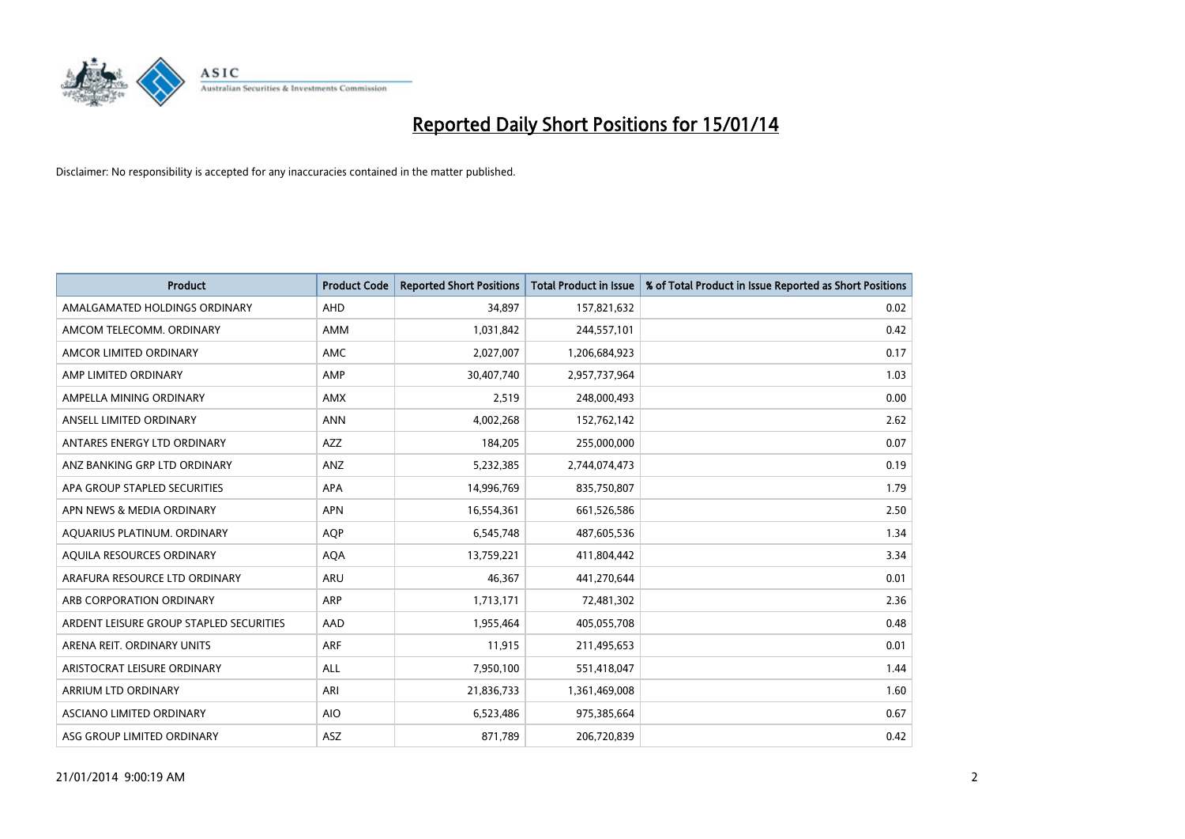

| <b>Product</b>                          | <b>Product Code</b> | <b>Reported Short Positions</b> | <b>Total Product in Issue</b> | % of Total Product in Issue Reported as Short Positions |
|-----------------------------------------|---------------------|---------------------------------|-------------------------------|---------------------------------------------------------|
| AMALGAMATED HOLDINGS ORDINARY           | AHD                 | 34,897                          | 157,821,632                   | 0.02                                                    |
| AMCOM TELECOMM. ORDINARY                | AMM                 | 1,031,842                       | 244,557,101                   | 0.42                                                    |
| AMCOR LIMITED ORDINARY                  | AMC                 | 2,027,007                       | 1,206,684,923                 | 0.17                                                    |
| AMP LIMITED ORDINARY                    | AMP                 | 30,407,740                      | 2,957,737,964                 | 1.03                                                    |
| AMPELLA MINING ORDINARY                 | <b>AMX</b>          | 2,519                           | 248,000,493                   | 0.00                                                    |
| ANSELL LIMITED ORDINARY                 | <b>ANN</b>          | 4,002,268                       | 152,762,142                   | 2.62                                                    |
| ANTARES ENERGY LTD ORDINARY             | AZZ                 | 184,205                         | 255,000,000                   | 0.07                                                    |
| ANZ BANKING GRP LTD ORDINARY            | ANZ                 | 5,232,385                       | 2,744,074,473                 | 0.19                                                    |
| APA GROUP STAPLED SECURITIES            | <b>APA</b>          | 14,996,769                      | 835,750,807                   | 1.79                                                    |
| APN NEWS & MEDIA ORDINARY               | <b>APN</b>          | 16,554,361                      | 661,526,586                   | 2.50                                                    |
| AQUARIUS PLATINUM. ORDINARY             | <b>AOP</b>          | 6,545,748                       | 487,605,536                   | 1.34                                                    |
| AQUILA RESOURCES ORDINARY               | <b>AQA</b>          | 13,759,221                      | 411,804,442                   | 3.34                                                    |
| ARAFURA RESOURCE LTD ORDINARY           | ARU                 | 46,367                          | 441,270,644                   | 0.01                                                    |
| ARB CORPORATION ORDINARY                | ARP                 | 1,713,171                       | 72,481,302                    | 2.36                                                    |
| ARDENT LEISURE GROUP STAPLED SECURITIES | AAD                 | 1,955,464                       | 405,055,708                   | 0.48                                                    |
| ARENA REIT. ORDINARY UNITS              | <b>ARF</b>          | 11,915                          | 211,495,653                   | 0.01                                                    |
| ARISTOCRAT LEISURE ORDINARY             | ALL                 | 7,950,100                       | 551,418,047                   | 1.44                                                    |
| ARRIUM LTD ORDINARY                     | ARI                 | 21,836,733                      | 1,361,469,008                 | 1.60                                                    |
| ASCIANO LIMITED ORDINARY                | <b>AIO</b>          | 6,523,486                       | 975,385,664                   | 0.67                                                    |
| ASG GROUP LIMITED ORDINARY              | ASZ                 | 871,789                         | 206,720,839                   | 0.42                                                    |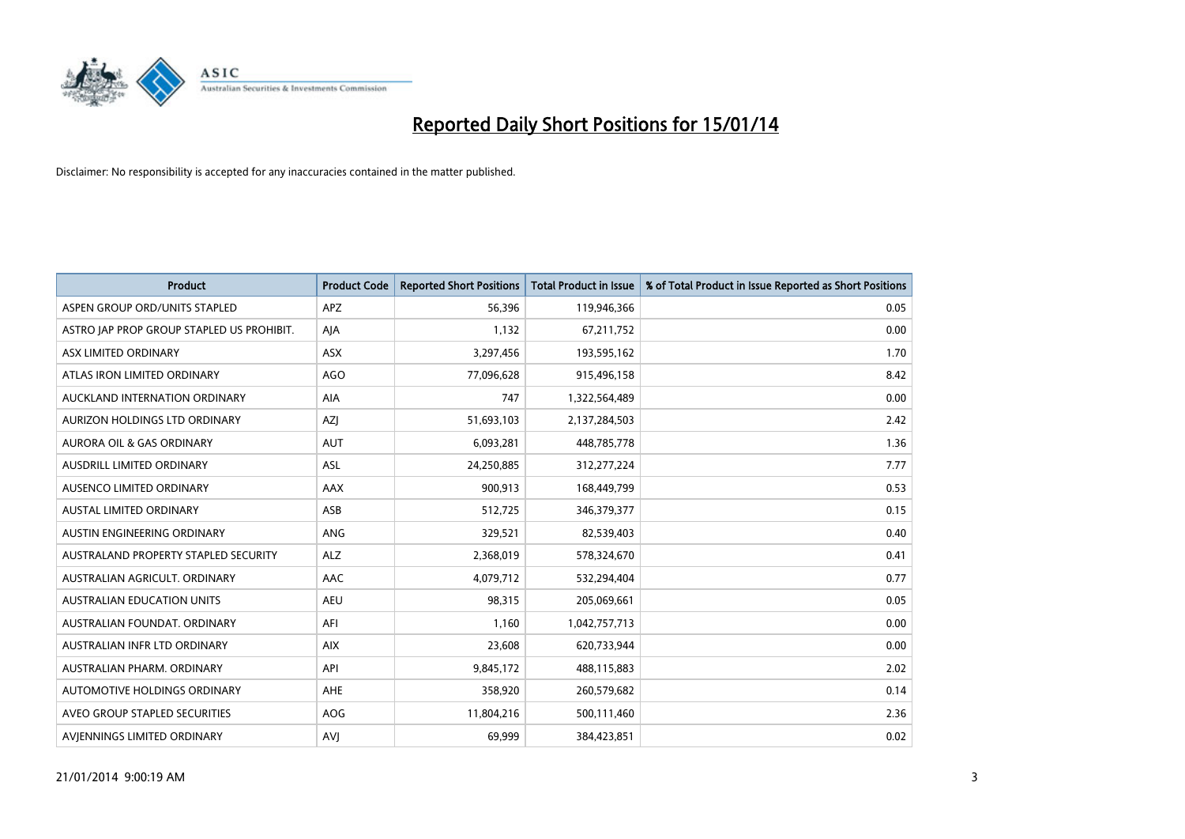

| <b>Product</b>                            | <b>Product Code</b> | <b>Reported Short Positions</b> | <b>Total Product in Issue</b> | % of Total Product in Issue Reported as Short Positions |
|-------------------------------------------|---------------------|---------------------------------|-------------------------------|---------------------------------------------------------|
| ASPEN GROUP ORD/UNITS STAPLED             | APZ                 | 56,396                          | 119,946,366                   | 0.05                                                    |
| ASTRO JAP PROP GROUP STAPLED US PROHIBIT. | AJA                 | 1,132                           | 67,211,752                    | 0.00                                                    |
| ASX LIMITED ORDINARY                      | ASX                 | 3,297,456                       | 193,595,162                   | 1.70                                                    |
| ATLAS IRON LIMITED ORDINARY               | <b>AGO</b>          | 77,096,628                      | 915,496,158                   | 8.42                                                    |
| AUCKLAND INTERNATION ORDINARY             | AIA                 | 747                             | 1,322,564,489                 | 0.00                                                    |
| AURIZON HOLDINGS LTD ORDINARY             | AZJ                 | 51,693,103                      | 2,137,284,503                 | 2.42                                                    |
| AURORA OIL & GAS ORDINARY                 | <b>AUT</b>          | 6,093,281                       | 448,785,778                   | 1.36                                                    |
| AUSDRILL LIMITED ORDINARY                 | ASL                 | 24,250,885                      | 312,277,224                   | 7.77                                                    |
| AUSENCO LIMITED ORDINARY                  | AAX                 | 900,913                         | 168,449,799                   | 0.53                                                    |
| <b>AUSTAL LIMITED ORDINARY</b>            | ASB                 | 512,725                         | 346,379,377                   | 0.15                                                    |
| AUSTIN ENGINEERING ORDINARY               | ANG                 | 329,521                         | 82,539,403                    | 0.40                                                    |
| AUSTRALAND PROPERTY STAPLED SECURITY      | <b>ALZ</b>          | 2,368,019                       | 578,324,670                   | 0.41                                                    |
| AUSTRALIAN AGRICULT. ORDINARY             | AAC                 | 4,079,712                       | 532,294,404                   | 0.77                                                    |
| AUSTRALIAN EDUCATION UNITS                | <b>AEU</b>          | 98,315                          | 205,069,661                   | 0.05                                                    |
| AUSTRALIAN FOUNDAT, ORDINARY              | AFI                 | 1,160                           | 1,042,757,713                 | 0.00                                                    |
| AUSTRALIAN INFR LTD ORDINARY              | <b>AIX</b>          | 23,608                          | 620,733,944                   | 0.00                                                    |
| AUSTRALIAN PHARM, ORDINARY                | API                 | 9,845,172                       | 488,115,883                   | 2.02                                                    |
| AUTOMOTIVE HOLDINGS ORDINARY              | AHE                 | 358,920                         | 260,579,682                   | 0.14                                                    |
| AVEO GROUP STAPLED SECURITIES             | AOG                 | 11,804,216                      | 500,111,460                   | 2.36                                                    |
| AVIENNINGS LIMITED ORDINARY               | <b>AVJ</b>          | 69,999                          | 384,423,851                   | 0.02                                                    |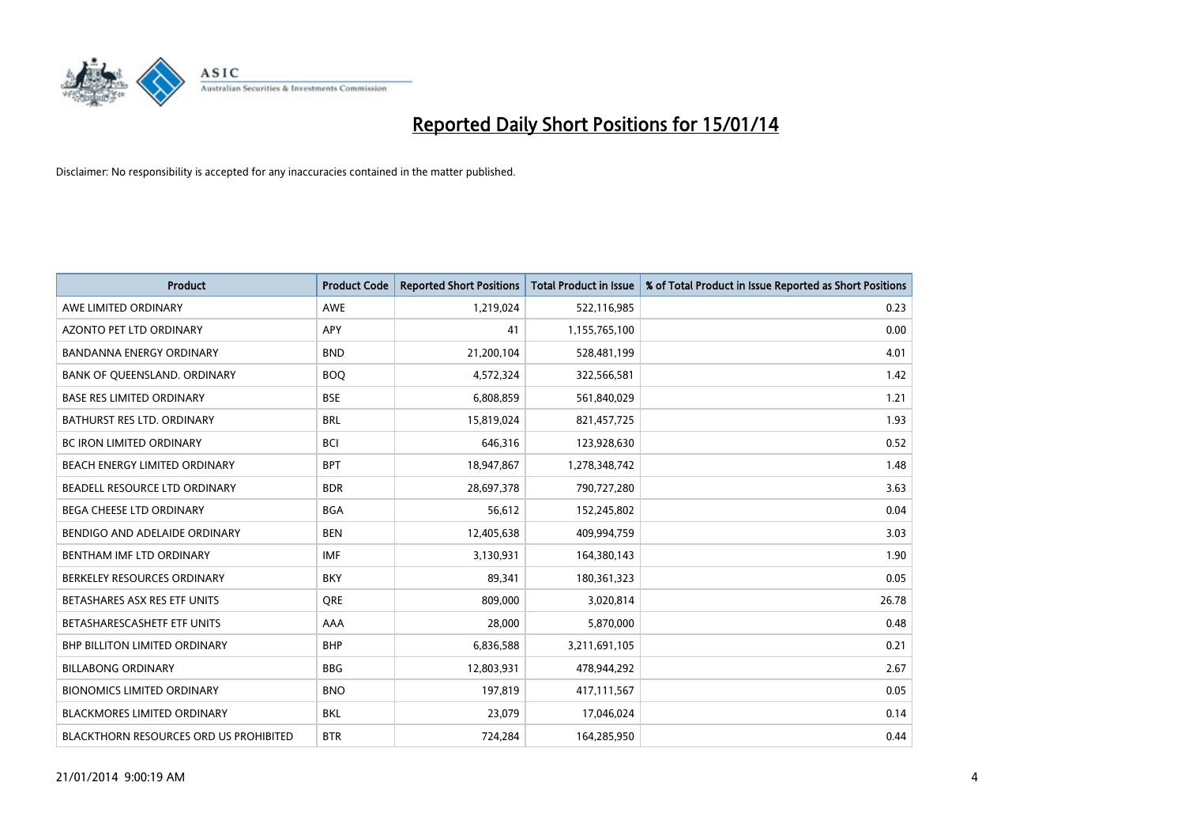

| <b>Product</b>                         | <b>Product Code</b> | <b>Reported Short Positions</b> | <b>Total Product in Issue</b> | % of Total Product in Issue Reported as Short Positions |
|----------------------------------------|---------------------|---------------------------------|-------------------------------|---------------------------------------------------------|
| AWE LIMITED ORDINARY                   | AWE                 | 1,219,024                       | 522,116,985                   | 0.23                                                    |
| AZONTO PET LTD ORDINARY                | APY                 | 41                              | 1,155,765,100                 | 0.00                                                    |
| <b>BANDANNA ENERGY ORDINARY</b>        | <b>BND</b>          | 21,200,104                      | 528,481,199                   | 4.01                                                    |
| BANK OF QUEENSLAND. ORDINARY           | <b>BOQ</b>          | 4,572,324                       | 322,566,581                   | 1.42                                                    |
| <b>BASE RES LIMITED ORDINARY</b>       | <b>BSE</b>          | 6,808,859                       | 561,840,029                   | 1.21                                                    |
| BATHURST RES LTD. ORDINARY             | <b>BRL</b>          | 15,819,024                      | 821,457,725                   | 1.93                                                    |
| <b>BC IRON LIMITED ORDINARY</b>        | <b>BCI</b>          | 646,316                         | 123,928,630                   | 0.52                                                    |
| BEACH ENERGY LIMITED ORDINARY          | <b>BPT</b>          | 18,947,867                      | 1,278,348,742                 | 1.48                                                    |
| BEADELL RESOURCE LTD ORDINARY          | <b>BDR</b>          | 28,697,378                      | 790,727,280                   | 3.63                                                    |
| <b>BEGA CHEESE LTD ORDINARY</b>        | <b>BGA</b>          | 56,612                          | 152,245,802                   | 0.04                                                    |
| BENDIGO AND ADELAIDE ORDINARY          | <b>BEN</b>          | 12,405,638                      | 409,994,759                   | 3.03                                                    |
| BENTHAM IMF LTD ORDINARY               | <b>IMF</b>          | 3,130,931                       | 164,380,143                   | 1.90                                                    |
| BERKELEY RESOURCES ORDINARY            | <b>BKY</b>          | 89,341                          | 180,361,323                   | 0.05                                                    |
| BETASHARES ASX RES ETF UNITS           | <b>ORE</b>          | 809,000                         | 3,020,814                     | 26.78                                                   |
| BETASHARESCASHETF ETF UNITS            | AAA                 | 28,000                          | 5,870,000                     | 0.48                                                    |
| <b>BHP BILLITON LIMITED ORDINARY</b>   | <b>BHP</b>          | 6,836,588                       | 3,211,691,105                 | 0.21                                                    |
| <b>BILLABONG ORDINARY</b>              | <b>BBG</b>          | 12,803,931                      | 478,944,292                   | 2.67                                                    |
| <b>BIONOMICS LIMITED ORDINARY</b>      | <b>BNO</b>          | 197,819                         | 417,111,567                   | 0.05                                                    |
| <b>BLACKMORES LIMITED ORDINARY</b>     | <b>BKL</b>          | 23,079                          | 17,046,024                    | 0.14                                                    |
| BLACKTHORN RESOURCES ORD US PROHIBITED | <b>BTR</b>          | 724,284                         | 164,285,950                   | 0.44                                                    |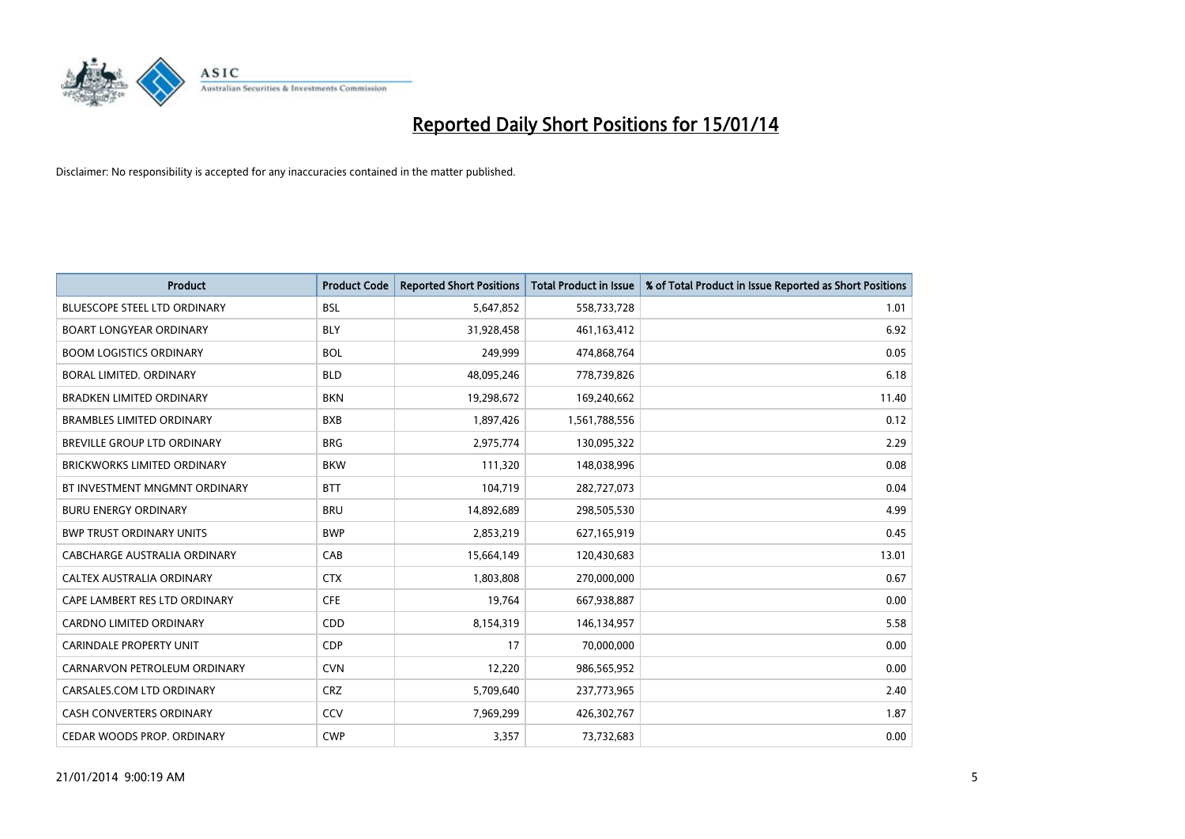

| <b>Product</b>                      | <b>Product Code</b> | <b>Reported Short Positions</b> | <b>Total Product in Issue</b> | % of Total Product in Issue Reported as Short Positions |
|-------------------------------------|---------------------|---------------------------------|-------------------------------|---------------------------------------------------------|
| <b>BLUESCOPE STEEL LTD ORDINARY</b> | <b>BSL</b>          | 5,647,852                       | 558,733,728                   | 1.01                                                    |
| <b>BOART LONGYEAR ORDINARY</b>      | BLY                 | 31,928,458                      | 461, 163, 412                 | 6.92                                                    |
| <b>BOOM LOGISTICS ORDINARY</b>      | <b>BOL</b>          | 249,999                         | 474,868,764                   | 0.05                                                    |
| BORAL LIMITED. ORDINARY             | <b>BLD</b>          | 48,095,246                      | 778,739,826                   | 6.18                                                    |
| <b>BRADKEN LIMITED ORDINARY</b>     | <b>BKN</b>          | 19,298,672                      | 169,240,662                   | 11.40                                                   |
| <b>BRAMBLES LIMITED ORDINARY</b>    | <b>BXB</b>          | 1,897,426                       | 1,561,788,556                 | 0.12                                                    |
| BREVILLE GROUP LTD ORDINARY         | <b>BRG</b>          | 2,975,774                       | 130,095,322                   | 2.29                                                    |
| BRICKWORKS LIMITED ORDINARY         | <b>BKW</b>          | 111,320                         | 148,038,996                   | 0.08                                                    |
| BT INVESTMENT MNGMNT ORDINARY       | <b>BTT</b>          | 104,719                         | 282,727,073                   | 0.04                                                    |
| <b>BURU ENERGY ORDINARY</b>         | <b>BRU</b>          | 14,892,689                      | 298,505,530                   | 4.99                                                    |
| <b>BWP TRUST ORDINARY UNITS</b>     | <b>BWP</b>          | 2,853,219                       | 627,165,919                   | 0.45                                                    |
| CABCHARGE AUSTRALIA ORDINARY        | CAB                 | 15,664,149                      | 120,430,683                   | 13.01                                                   |
| CALTEX AUSTRALIA ORDINARY           | <b>CTX</b>          | 1,803,808                       | 270,000,000                   | 0.67                                                    |
| CAPE LAMBERT RES LTD ORDINARY       | <b>CFE</b>          | 19,764                          | 667,938,887                   | 0.00                                                    |
| <b>CARDNO LIMITED ORDINARY</b>      | CDD                 | 8,154,319                       | 146,134,957                   | 5.58                                                    |
| CARINDALE PROPERTY UNIT             | <b>CDP</b>          | 17                              | 70,000,000                    | 0.00                                                    |
| CARNARVON PETROLEUM ORDINARY        | <b>CVN</b>          | 12,220                          | 986,565,952                   | 0.00                                                    |
| CARSALES.COM LTD ORDINARY           | <b>CRZ</b>          | 5,709,640                       | 237,773,965                   | 2.40                                                    |
| <b>CASH CONVERTERS ORDINARY</b>     | CCV                 | 7,969,299                       | 426,302,767                   | 1.87                                                    |
| CEDAR WOODS PROP. ORDINARY          | <b>CWP</b>          | 3,357                           | 73,732,683                    | 0.00                                                    |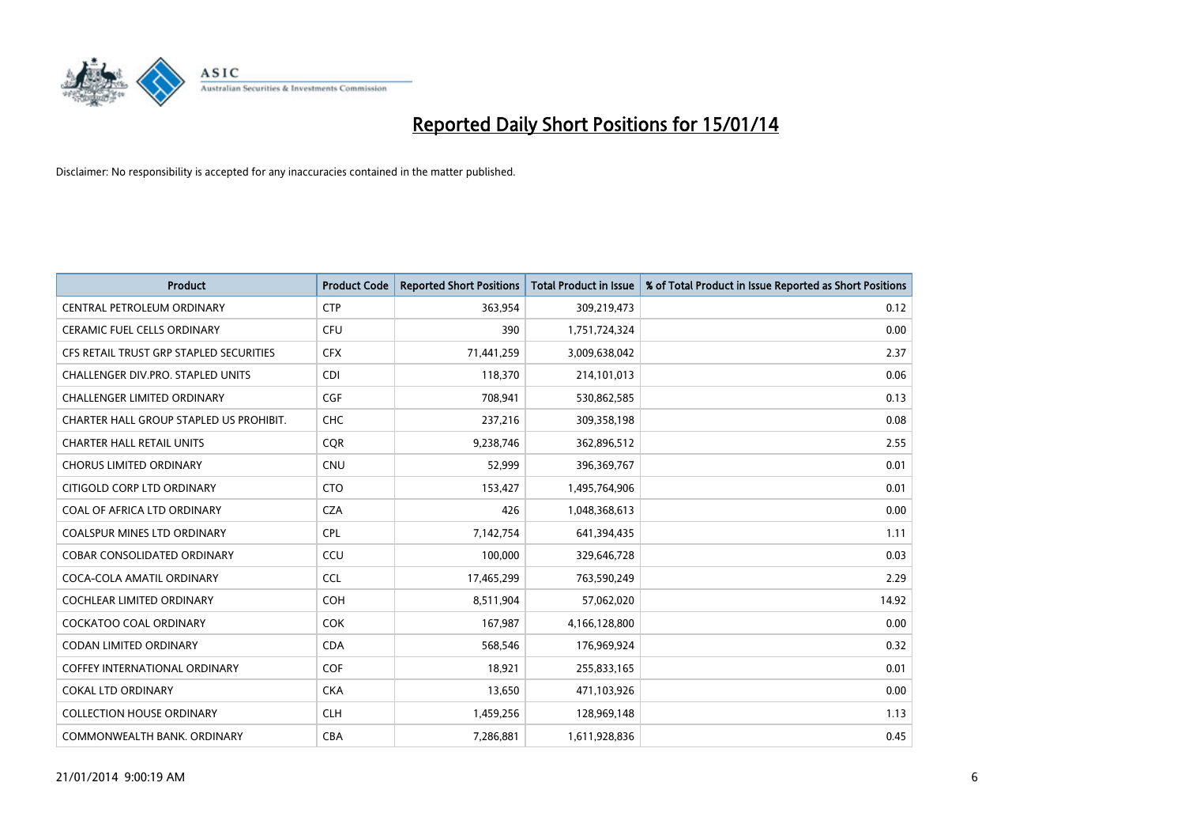

| <b>Product</b>                          | <b>Product Code</b> | <b>Reported Short Positions</b> | <b>Total Product in Issue</b> | % of Total Product in Issue Reported as Short Positions |
|-----------------------------------------|---------------------|---------------------------------|-------------------------------|---------------------------------------------------------|
| CENTRAL PETROLEUM ORDINARY              | <b>CTP</b>          | 363,954                         | 309,219,473                   | 0.12                                                    |
| CERAMIC FUEL CELLS ORDINARY             | <b>CFU</b>          | 390                             | 1,751,724,324                 | 0.00                                                    |
| CFS RETAIL TRUST GRP STAPLED SECURITIES | <b>CFX</b>          | 71,441,259                      | 3,009,638,042                 | 2.37                                                    |
| CHALLENGER DIV.PRO. STAPLED UNITS       | <b>CDI</b>          | 118,370                         | 214,101,013                   | 0.06                                                    |
| <b>CHALLENGER LIMITED ORDINARY</b>      | <b>CGF</b>          | 708,941                         | 530,862,585                   | 0.13                                                    |
| CHARTER HALL GROUP STAPLED US PROHIBIT. | <b>CHC</b>          | 237,216                         | 309,358,198                   | 0.08                                                    |
| <b>CHARTER HALL RETAIL UNITS</b>        | <b>COR</b>          | 9,238,746                       | 362,896,512                   | 2.55                                                    |
| <b>CHORUS LIMITED ORDINARY</b>          | <b>CNU</b>          | 52,999                          | 396,369,767                   | 0.01                                                    |
| CITIGOLD CORP LTD ORDINARY              | <b>CTO</b>          | 153,427                         | 1,495,764,906                 | 0.01                                                    |
| COAL OF AFRICA LTD ORDINARY             | <b>CZA</b>          | 426                             | 1,048,368,613                 | 0.00                                                    |
| COALSPUR MINES LTD ORDINARY             | <b>CPL</b>          | 7,142,754                       | 641,394,435                   | 1.11                                                    |
| <b>COBAR CONSOLIDATED ORDINARY</b>      | CCU                 | 100,000                         | 329,646,728                   | 0.03                                                    |
| COCA-COLA AMATIL ORDINARY               | <b>CCL</b>          | 17,465,299                      | 763,590,249                   | 2.29                                                    |
| COCHLEAR LIMITED ORDINARY               | <b>COH</b>          | 8,511,904                       | 57,062,020                    | 14.92                                                   |
| <b>COCKATOO COAL ORDINARY</b>           | <b>COK</b>          | 167,987                         | 4,166,128,800                 | 0.00                                                    |
| CODAN LIMITED ORDINARY                  | <b>CDA</b>          | 568,546                         | 176,969,924                   | 0.32                                                    |
| COFFEY INTERNATIONAL ORDINARY           | <b>COF</b>          | 18,921                          | 255,833,165                   | 0.01                                                    |
| <b>COKAL LTD ORDINARY</b>               | <b>CKA</b>          | 13,650                          | 471,103,926                   | 0.00                                                    |
| <b>COLLECTION HOUSE ORDINARY</b>        | <b>CLH</b>          | 1,459,256                       | 128,969,148                   | 1.13                                                    |
| COMMONWEALTH BANK, ORDINARY             | <b>CBA</b>          | 7,286,881                       | 1,611,928,836                 | 0.45                                                    |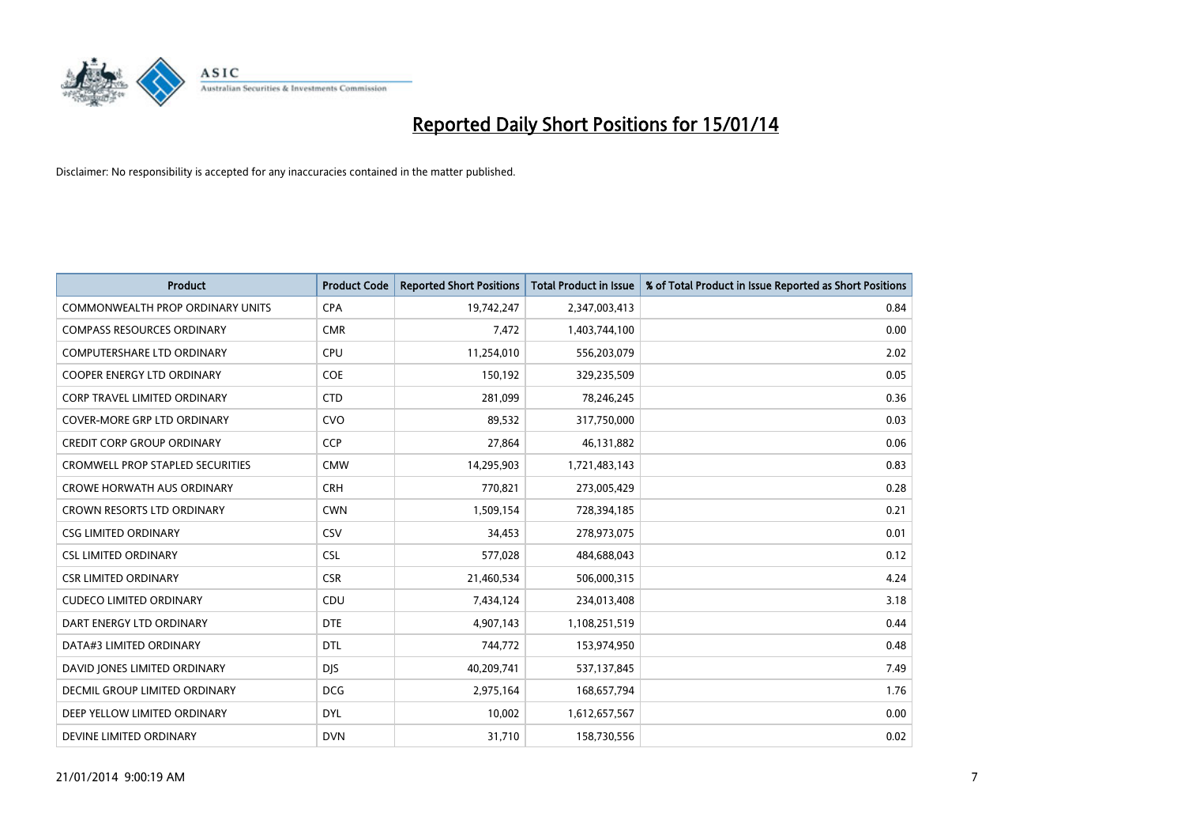

| <b>Product</b>                          | <b>Product Code</b> | <b>Reported Short Positions</b> | <b>Total Product in Issue</b> | % of Total Product in Issue Reported as Short Positions |
|-----------------------------------------|---------------------|---------------------------------|-------------------------------|---------------------------------------------------------|
| <b>COMMONWEALTH PROP ORDINARY UNITS</b> | <b>CPA</b>          | 19,742,247                      | 2,347,003,413                 | 0.84                                                    |
| <b>COMPASS RESOURCES ORDINARY</b>       | <b>CMR</b>          | 7,472                           | 1,403,744,100                 | 0.00                                                    |
| COMPUTERSHARE LTD ORDINARY              | <b>CPU</b>          | 11,254,010                      | 556,203,079                   | 2.02                                                    |
| <b>COOPER ENERGY LTD ORDINARY</b>       | <b>COE</b>          | 150,192                         | 329,235,509                   | 0.05                                                    |
| CORP TRAVEL LIMITED ORDINARY            | <b>CTD</b>          | 281,099                         | 78,246,245                    | 0.36                                                    |
| <b>COVER-MORE GRP LTD ORDINARY</b>      | <b>CVO</b>          | 89,532                          | 317,750,000                   | 0.03                                                    |
| <b>CREDIT CORP GROUP ORDINARY</b>       | <b>CCP</b>          | 27,864                          | 46,131,882                    | 0.06                                                    |
| <b>CROMWELL PROP STAPLED SECURITIES</b> | <b>CMW</b>          | 14,295,903                      | 1,721,483,143                 | 0.83                                                    |
| <b>CROWE HORWATH AUS ORDINARY</b>       | <b>CRH</b>          | 770,821                         | 273,005,429                   | 0.28                                                    |
| <b>CROWN RESORTS LTD ORDINARY</b>       | <b>CWN</b>          | 1,509,154                       | 728,394,185                   | 0.21                                                    |
| <b>CSG LIMITED ORDINARY</b>             | CSV                 | 34,453                          | 278,973,075                   | 0.01                                                    |
| <b>CSL LIMITED ORDINARY</b>             | <b>CSL</b>          | 577,028                         | 484,688,043                   | 0.12                                                    |
| <b>CSR LIMITED ORDINARY</b>             | <b>CSR</b>          | 21,460,534                      | 506,000,315                   | 4.24                                                    |
| <b>CUDECO LIMITED ORDINARY</b>          | CDU                 | 7,434,124                       | 234,013,408                   | 3.18                                                    |
| DART ENERGY LTD ORDINARY                | <b>DTE</b>          | 4,907,143                       | 1,108,251,519                 | 0.44                                                    |
| DATA#3 LIMITED ORDINARY                 | DTL                 | 744,772                         | 153,974,950                   | 0.48                                                    |
| DAVID JONES LIMITED ORDINARY            | <b>DJS</b>          | 40,209,741                      | 537,137,845                   | 7.49                                                    |
| DECMIL GROUP LIMITED ORDINARY           | <b>DCG</b>          | 2,975,164                       | 168,657,794                   | 1.76                                                    |
| DEEP YELLOW LIMITED ORDINARY            | <b>DYL</b>          | 10,002                          | 1,612,657,567                 | 0.00                                                    |
| DEVINE LIMITED ORDINARY                 | <b>DVN</b>          | 31,710                          | 158,730,556                   | 0.02                                                    |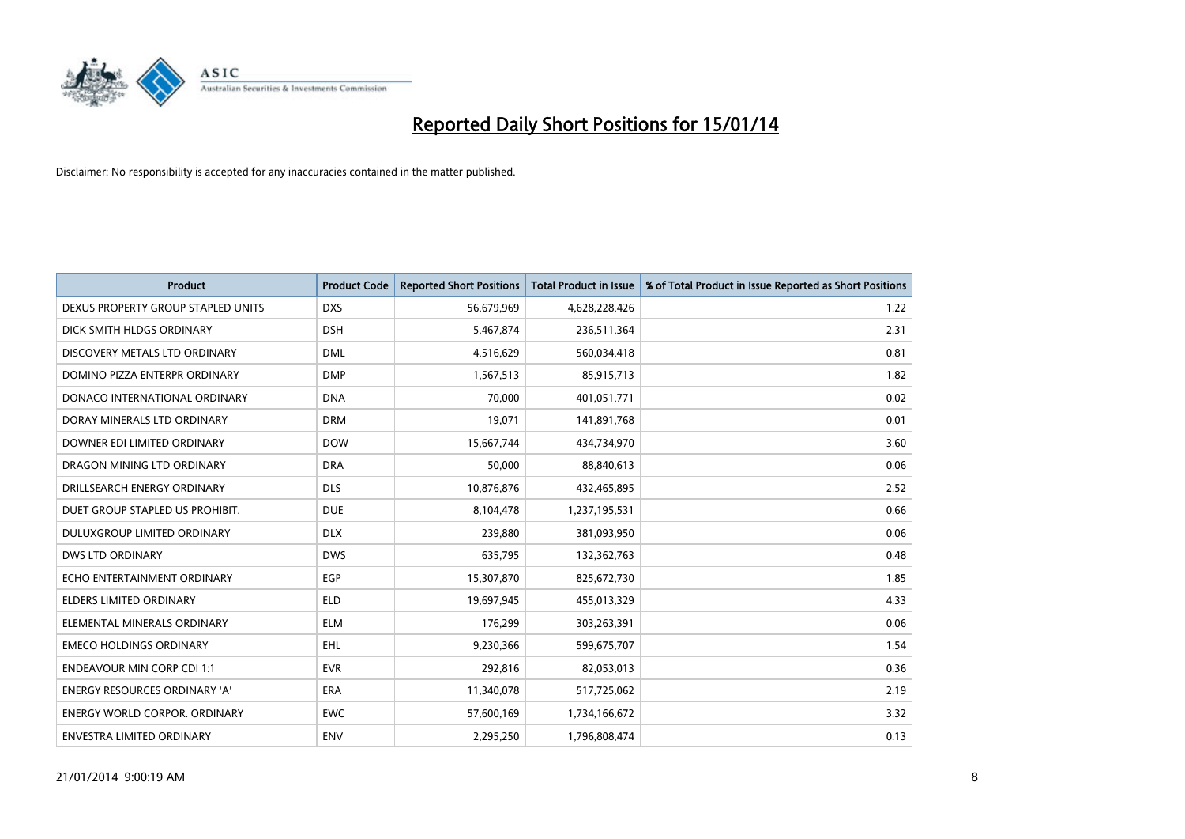

| <b>Product</b>                       | <b>Product Code</b> | <b>Reported Short Positions</b> | <b>Total Product in Issue</b> | % of Total Product in Issue Reported as Short Positions |
|--------------------------------------|---------------------|---------------------------------|-------------------------------|---------------------------------------------------------|
| DEXUS PROPERTY GROUP STAPLED UNITS   | <b>DXS</b>          | 56,679,969                      | 4,628,228,426                 | 1.22                                                    |
| DICK SMITH HLDGS ORDINARY            | <b>DSH</b>          | 5,467,874                       | 236,511,364                   | 2.31                                                    |
| DISCOVERY METALS LTD ORDINARY        | <b>DML</b>          | 4,516,629                       | 560,034,418                   | 0.81                                                    |
| DOMINO PIZZA ENTERPR ORDINARY        | <b>DMP</b>          | 1,567,513                       | 85,915,713                    | 1.82                                                    |
| DONACO INTERNATIONAL ORDINARY        | <b>DNA</b>          | 70,000                          | 401,051,771                   | 0.02                                                    |
| DORAY MINERALS LTD ORDINARY          | <b>DRM</b>          | 19,071                          | 141,891,768                   | 0.01                                                    |
| DOWNER EDI LIMITED ORDINARY          | <b>DOW</b>          | 15,667,744                      | 434,734,970                   | 3.60                                                    |
| DRAGON MINING LTD ORDINARY           | <b>DRA</b>          | 50,000                          | 88,840,613                    | 0.06                                                    |
| DRILLSEARCH ENERGY ORDINARY          | <b>DLS</b>          | 10,876,876                      | 432,465,895                   | 2.52                                                    |
| DUET GROUP STAPLED US PROHIBIT.      | <b>DUE</b>          | 8,104,478                       | 1,237,195,531                 | 0.66                                                    |
| <b>DULUXGROUP LIMITED ORDINARY</b>   | <b>DLX</b>          | 239,880                         | 381,093,950                   | 0.06                                                    |
| <b>DWS LTD ORDINARY</b>              | <b>DWS</b>          | 635,795                         | 132,362,763                   | 0.48                                                    |
| ECHO ENTERTAINMENT ORDINARY          | <b>EGP</b>          | 15,307,870                      | 825,672,730                   | 1.85                                                    |
| <b>ELDERS LIMITED ORDINARY</b>       | <b>ELD</b>          | 19,697,945                      | 455,013,329                   | 4.33                                                    |
| ELEMENTAL MINERALS ORDINARY          | <b>ELM</b>          | 176,299                         | 303,263,391                   | 0.06                                                    |
| <b>EMECO HOLDINGS ORDINARY</b>       | <b>EHL</b>          | 9,230,366                       | 599,675,707                   | 1.54                                                    |
| <b>ENDEAVOUR MIN CORP CDI 1:1</b>    | <b>EVR</b>          | 292,816                         | 82,053,013                    | 0.36                                                    |
| ENERGY RESOURCES ORDINARY 'A'        | <b>ERA</b>          | 11,340,078                      | 517,725,062                   | 2.19                                                    |
| <b>ENERGY WORLD CORPOR, ORDINARY</b> | <b>EWC</b>          | 57,600,169                      | 1,734,166,672                 | 3.32                                                    |
| ENVESTRA LIMITED ORDINARY            | <b>ENV</b>          | 2,295,250                       | 1,796,808,474                 | 0.13                                                    |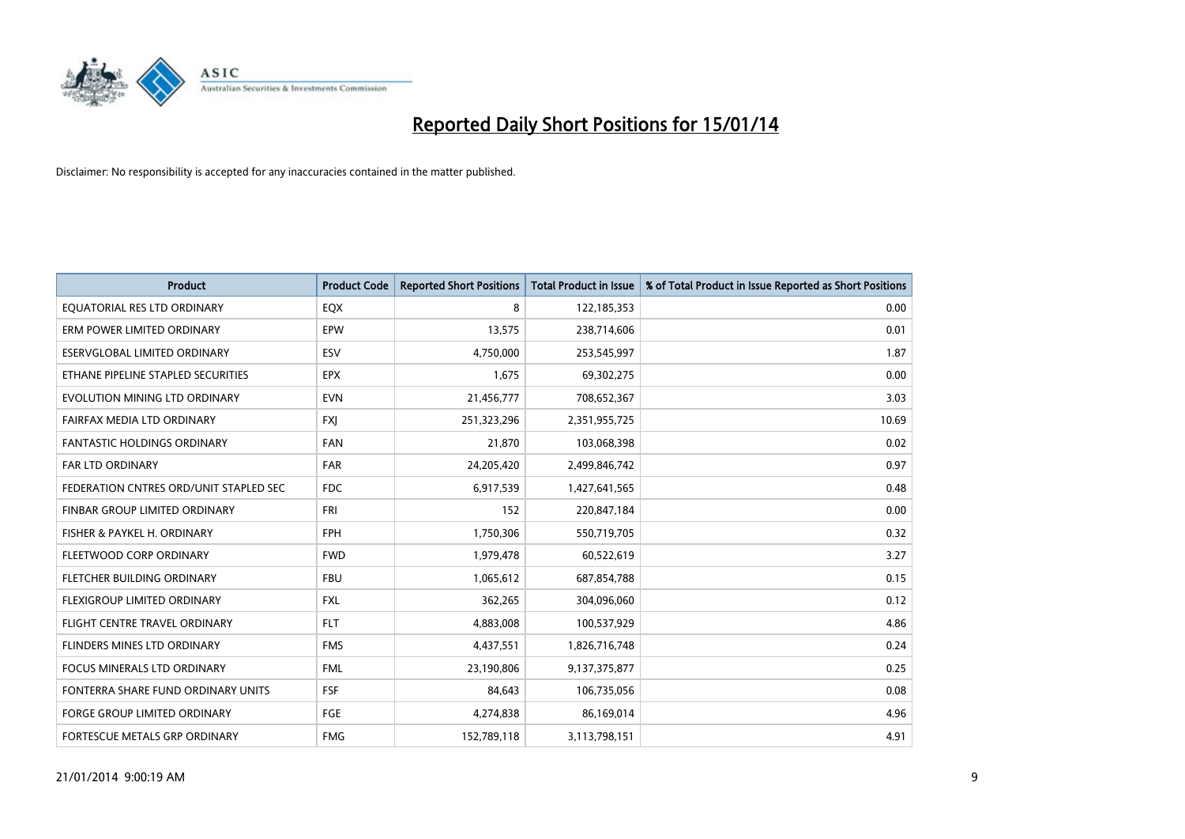

| <b>Product</b>                         | <b>Product Code</b> | <b>Reported Short Positions</b> | <b>Total Product in Issue</b> | % of Total Product in Issue Reported as Short Positions |
|----------------------------------------|---------------------|---------------------------------|-------------------------------|---------------------------------------------------------|
| EQUATORIAL RES LTD ORDINARY            | EQX                 | 8                               | 122,185,353                   | 0.00                                                    |
| ERM POWER LIMITED ORDINARY             | <b>EPW</b>          | 13,575                          | 238,714,606                   | 0.01                                                    |
| ESERVGLOBAL LIMITED ORDINARY           | ESV                 | 4,750,000                       | 253,545,997                   | 1.87                                                    |
| ETHANE PIPELINE STAPLED SECURITIES     | <b>EPX</b>          | 1,675                           | 69,302,275                    | 0.00                                                    |
| EVOLUTION MINING LTD ORDINARY          | <b>EVN</b>          | 21,456,777                      | 708,652,367                   | 3.03                                                    |
| FAIRFAX MEDIA LTD ORDINARY             | <b>FXI</b>          | 251,323,296                     | 2,351,955,725                 | 10.69                                                   |
| <b>FANTASTIC HOLDINGS ORDINARY</b>     | <b>FAN</b>          | 21,870                          | 103,068,398                   | 0.02                                                    |
| FAR LTD ORDINARY                       | <b>FAR</b>          | 24,205,420                      | 2,499,846,742                 | 0.97                                                    |
| FEDERATION CNTRES ORD/UNIT STAPLED SEC | <b>FDC</b>          | 6,917,539                       | 1,427,641,565                 | 0.48                                                    |
| FINBAR GROUP LIMITED ORDINARY          | FRI                 | 152                             | 220,847,184                   | 0.00                                                    |
| FISHER & PAYKEL H. ORDINARY            | <b>FPH</b>          | 1,750,306                       | 550,719,705                   | 0.32                                                    |
| FLEETWOOD CORP ORDINARY                | <b>FWD</b>          | 1,979,478                       | 60,522,619                    | 3.27                                                    |
| FLETCHER BUILDING ORDINARY             | <b>FBU</b>          | 1,065,612                       | 687,854,788                   | 0.15                                                    |
| FLEXIGROUP LIMITED ORDINARY            | <b>FXL</b>          | 362,265                         | 304,096,060                   | 0.12                                                    |
| FLIGHT CENTRE TRAVEL ORDINARY          | <b>FLT</b>          | 4,883,008                       | 100,537,929                   | 4.86                                                    |
| FLINDERS MINES LTD ORDINARY            | <b>FMS</b>          | 4,437,551                       | 1,826,716,748                 | 0.24                                                    |
| FOCUS MINERALS LTD ORDINARY            | <b>FML</b>          | 23,190,806                      | 9,137,375,877                 | 0.25                                                    |
| FONTERRA SHARE FUND ORDINARY UNITS     | <b>FSF</b>          | 84,643                          | 106,735,056                   | 0.08                                                    |
| <b>FORGE GROUP LIMITED ORDINARY</b>    | FGE                 | 4,274,838                       | 86,169,014                    | 4.96                                                    |
| FORTESCUE METALS GRP ORDINARY          | <b>FMG</b>          | 152,789,118                     | 3,113,798,151                 | 4.91                                                    |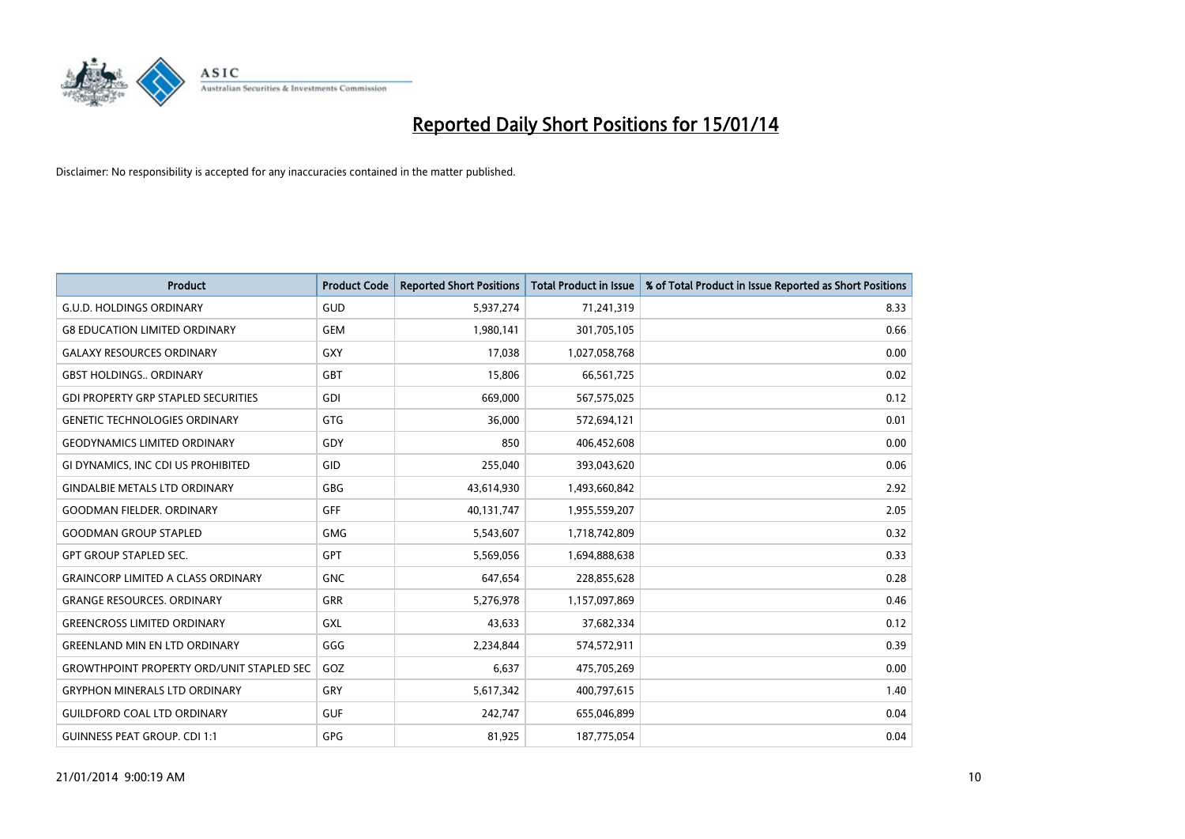

| <b>Product</b>                                   | <b>Product Code</b> | <b>Reported Short Positions</b> | <b>Total Product in Issue</b> | % of Total Product in Issue Reported as Short Positions |
|--------------------------------------------------|---------------------|---------------------------------|-------------------------------|---------------------------------------------------------|
| <b>G.U.D. HOLDINGS ORDINARY</b>                  | GUD                 | 5,937,274                       | 71,241,319                    | 8.33                                                    |
| <b>G8 EDUCATION LIMITED ORDINARY</b>             | <b>GEM</b>          | 1,980,141                       | 301,705,105                   | 0.66                                                    |
| <b>GALAXY RESOURCES ORDINARY</b>                 | <b>GXY</b>          | 17,038                          | 1,027,058,768                 | 0.00                                                    |
| <b>GBST HOLDINGS., ORDINARY</b>                  | GBT                 | 15.806                          | 66,561,725                    | 0.02                                                    |
| <b>GDI PROPERTY GRP STAPLED SECURITIES</b>       | GDI                 | 669,000                         | 567,575,025                   | 0.12                                                    |
| <b>GENETIC TECHNOLOGIES ORDINARY</b>             | <b>GTG</b>          | 36,000                          | 572,694,121                   | 0.01                                                    |
| <b>GEODYNAMICS LIMITED ORDINARY</b>              | GDY                 | 850                             | 406,452,608                   | 0.00                                                    |
| GI DYNAMICS, INC CDI US PROHIBITED               | <b>GID</b>          | 255,040                         | 393,043,620                   | 0.06                                                    |
| <b>GINDALBIE METALS LTD ORDINARY</b>             | GBG                 | 43,614,930                      | 1,493,660,842                 | 2.92                                                    |
| <b>GOODMAN FIELDER, ORDINARY</b>                 | GFF                 | 40,131,747                      | 1,955,559,207                 | 2.05                                                    |
| <b>GOODMAN GROUP STAPLED</b>                     | <b>GMG</b>          | 5,543,607                       | 1,718,742,809                 | 0.32                                                    |
| <b>GPT GROUP STAPLED SEC.</b>                    | <b>GPT</b>          | 5,569,056                       | 1,694,888,638                 | 0.33                                                    |
| <b>GRAINCORP LIMITED A CLASS ORDINARY</b>        | <b>GNC</b>          | 647,654                         | 228,855,628                   | 0.28                                                    |
| <b>GRANGE RESOURCES, ORDINARY</b>                | <b>GRR</b>          | 5,276,978                       | 1,157,097,869                 | 0.46                                                    |
| <b>GREENCROSS LIMITED ORDINARY</b>               | <b>GXL</b>          | 43,633                          | 37,682,334                    | 0.12                                                    |
| <b>GREENLAND MIN EN LTD ORDINARY</b>             | GGG                 | 2,234,844                       | 574,572,911                   | 0.39                                                    |
| <b>GROWTHPOINT PROPERTY ORD/UNIT STAPLED SEC</b> | GOZ                 | 6,637                           | 475,705,269                   | 0.00                                                    |
| <b>GRYPHON MINERALS LTD ORDINARY</b>             | GRY                 | 5,617,342                       | 400,797,615                   | 1.40                                                    |
| <b>GUILDFORD COAL LTD ORDINARY</b>               | <b>GUF</b>          | 242,747                         | 655,046,899                   | 0.04                                                    |
| <b>GUINNESS PEAT GROUP. CDI 1:1</b>              | <b>GPG</b>          | 81,925                          | 187,775,054                   | 0.04                                                    |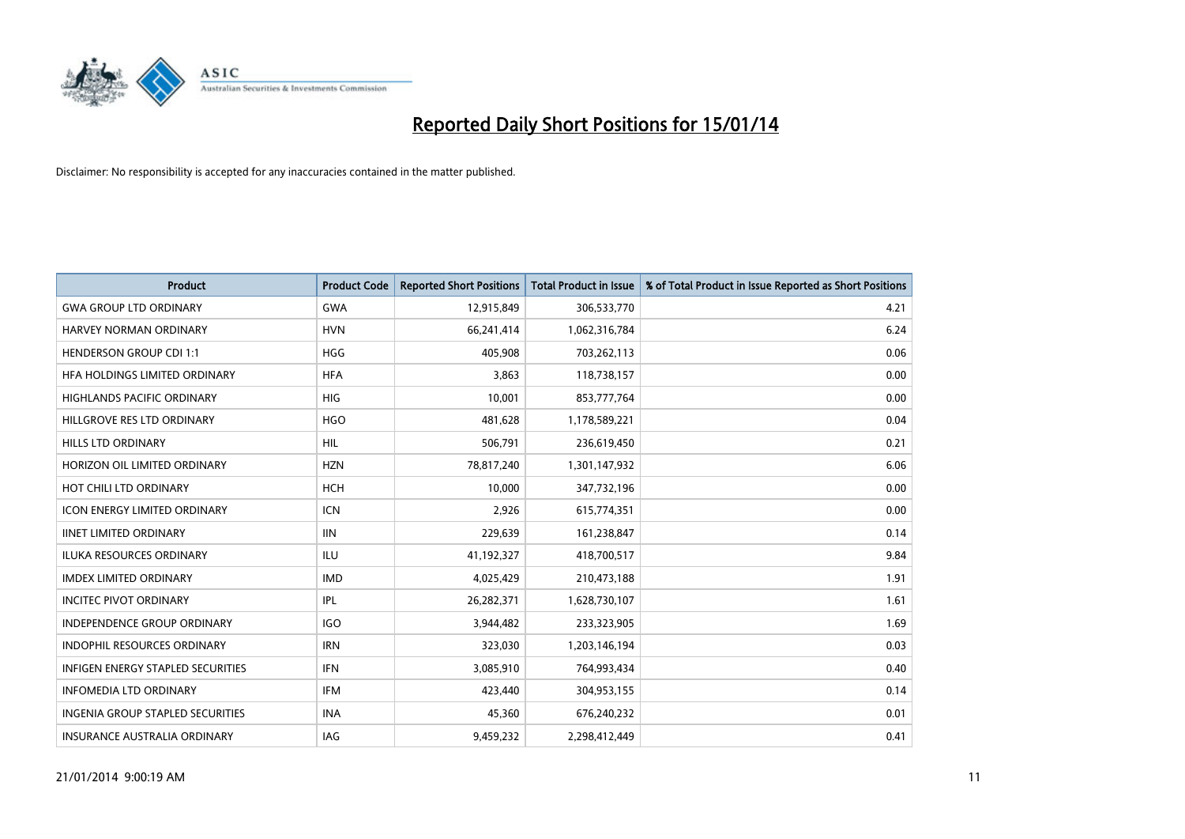

| <b>Product</b>                          | <b>Product Code</b> | <b>Reported Short Positions</b> | <b>Total Product in Issue</b> | % of Total Product in Issue Reported as Short Positions |
|-----------------------------------------|---------------------|---------------------------------|-------------------------------|---------------------------------------------------------|
| <b>GWA GROUP LTD ORDINARY</b>           | <b>GWA</b>          | 12,915,849                      | 306,533,770                   | 4.21                                                    |
| HARVEY NORMAN ORDINARY                  | <b>HVN</b>          | 66,241,414                      | 1,062,316,784                 | 6.24                                                    |
| <b>HENDERSON GROUP CDI 1:1</b>          | <b>HGG</b>          | 405,908                         | 703,262,113                   | 0.06                                                    |
| HFA HOLDINGS LIMITED ORDINARY           | <b>HFA</b>          | 3,863                           | 118,738,157                   | 0.00                                                    |
| <b>HIGHLANDS PACIFIC ORDINARY</b>       | <b>HIG</b>          | 10,001                          | 853,777,764                   | 0.00                                                    |
| HILLGROVE RES LTD ORDINARY              | <b>HGO</b>          | 481,628                         | 1,178,589,221                 | 0.04                                                    |
| HILLS LTD ORDINARY                      | <b>HIL</b>          | 506,791                         | 236,619,450                   | 0.21                                                    |
| HORIZON OIL LIMITED ORDINARY            | <b>HZN</b>          | 78,817,240                      | 1,301,147,932                 | 6.06                                                    |
| HOT CHILI LTD ORDINARY                  | <b>HCH</b>          | 10.000                          | 347,732,196                   | 0.00                                                    |
| <b>ICON ENERGY LIMITED ORDINARY</b>     | <b>ICN</b>          | 2,926                           | 615,774,351                   | 0.00                                                    |
| <b>IINET LIMITED ORDINARY</b>           | <b>IIN</b>          | 229,639                         | 161,238,847                   | 0.14                                                    |
| <b>ILUKA RESOURCES ORDINARY</b>         | ILU                 | 41,192,327                      | 418,700,517                   | 9.84                                                    |
| <b>IMDEX LIMITED ORDINARY</b>           | <b>IMD</b>          | 4,025,429                       | 210,473,188                   | 1.91                                                    |
| <b>INCITEC PIVOT ORDINARY</b>           | IPL                 | 26,282,371                      | 1,628,730,107                 | 1.61                                                    |
| <b>INDEPENDENCE GROUP ORDINARY</b>      | <b>IGO</b>          | 3,944,482                       | 233,323,905                   | 1.69                                                    |
| INDOPHIL RESOURCES ORDINARY             | <b>IRN</b>          | 323,030                         | 1,203,146,194                 | 0.03                                                    |
| INFIGEN ENERGY STAPLED SECURITIES       | <b>IFN</b>          | 3,085,910                       | 764,993,434                   | 0.40                                                    |
| <b>INFOMEDIA LTD ORDINARY</b>           | <b>IFM</b>          | 423,440                         | 304,953,155                   | 0.14                                                    |
| <b>INGENIA GROUP STAPLED SECURITIES</b> | <b>INA</b>          | 45,360                          | 676,240,232                   | 0.01                                                    |
| INSURANCE AUSTRALIA ORDINARY            | IAG                 | 9,459,232                       | 2,298,412,449                 | 0.41                                                    |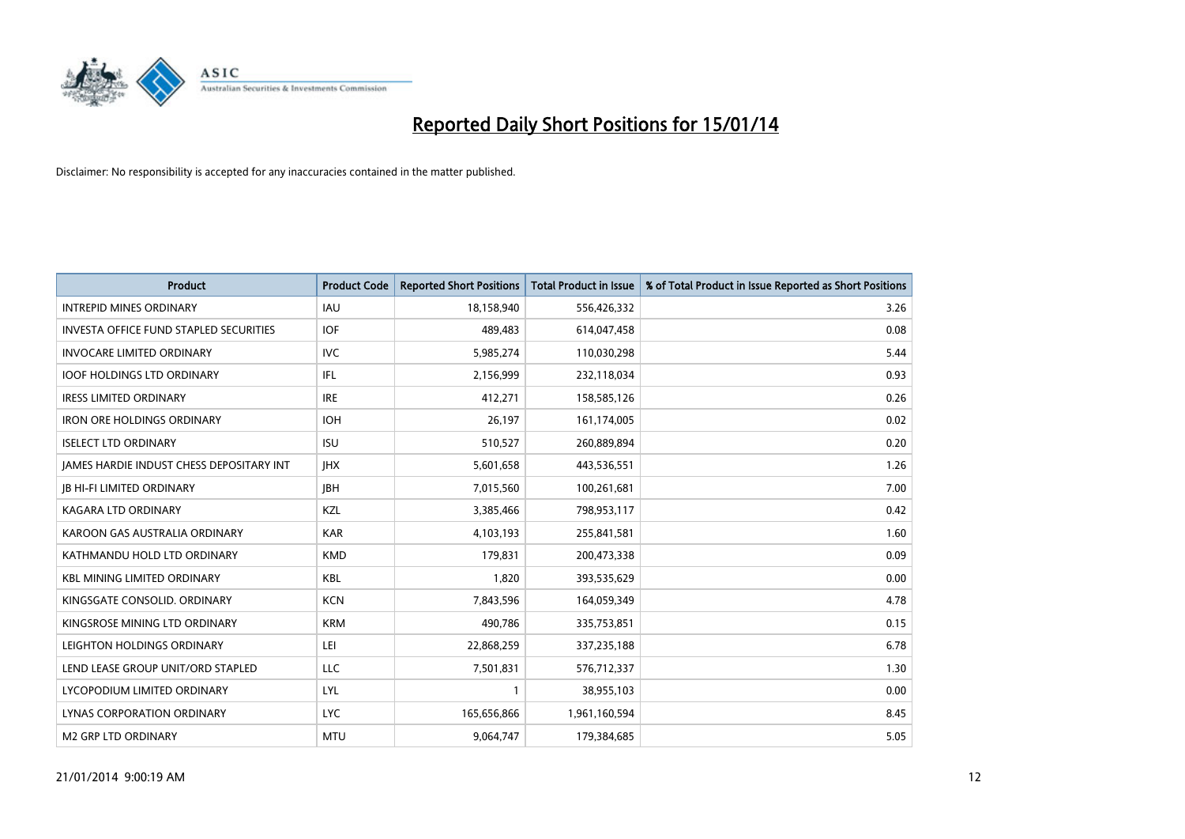

| Product                                       | <b>Product Code</b> | <b>Reported Short Positions</b> | <b>Total Product in Issue</b> | % of Total Product in Issue Reported as Short Positions |
|-----------------------------------------------|---------------------|---------------------------------|-------------------------------|---------------------------------------------------------|
| <b>INTREPID MINES ORDINARY</b>                | <b>IAU</b>          | 18,158,940                      | 556,426,332                   | 3.26                                                    |
| <b>INVESTA OFFICE FUND STAPLED SECURITIES</b> | <b>IOF</b>          | 489,483                         | 614,047,458                   | 0.08                                                    |
| <b>INVOCARE LIMITED ORDINARY</b>              | <b>IVC</b>          | 5,985,274                       | 110,030,298                   | 5.44                                                    |
| <b>IOOF HOLDINGS LTD ORDINARY</b>             | IFL                 | 2,156,999                       | 232,118,034                   | 0.93                                                    |
| <b>IRESS LIMITED ORDINARY</b>                 | <b>IRE</b>          | 412,271                         | 158,585,126                   | 0.26                                                    |
| <b>IRON ORE HOLDINGS ORDINARY</b>             | <b>IOH</b>          | 26,197                          | 161,174,005                   | 0.02                                                    |
| <b>ISELECT LTD ORDINARY</b>                   | <b>ISU</b>          | 510,527                         | 260,889,894                   | 0.20                                                    |
| JAMES HARDIE INDUST CHESS DEPOSITARY INT      | <b>IHX</b>          | 5,601,658                       | 443,536,551                   | 1.26                                                    |
| <b>JB HI-FI LIMITED ORDINARY</b>              | <b>JBH</b>          | 7,015,560                       | 100,261,681                   | 7.00                                                    |
| <b>KAGARA LTD ORDINARY</b>                    | KZL                 | 3,385,466                       | 798,953,117                   | 0.42                                                    |
| KAROON GAS AUSTRALIA ORDINARY                 | <b>KAR</b>          | 4,103,193                       | 255,841,581                   | 1.60                                                    |
| KATHMANDU HOLD LTD ORDINARY                   | <b>KMD</b>          | 179,831                         | 200,473,338                   | 0.09                                                    |
| <b>KBL MINING LIMITED ORDINARY</b>            | <b>KBL</b>          | 1,820                           | 393,535,629                   | 0.00                                                    |
| KINGSGATE CONSOLID, ORDINARY                  | <b>KCN</b>          | 7,843,596                       | 164,059,349                   | 4.78                                                    |
| KINGSROSE MINING LTD ORDINARY                 | <b>KRM</b>          | 490,786                         | 335,753,851                   | 0.15                                                    |
| LEIGHTON HOLDINGS ORDINARY                    | LEI                 | 22,868,259                      | 337,235,188                   | 6.78                                                    |
| LEND LEASE GROUP UNIT/ORD STAPLED             | LLC                 | 7,501,831                       | 576,712,337                   | 1.30                                                    |
| LYCOPODIUM LIMITED ORDINARY                   | LYL                 |                                 | 38,955,103                    | 0.00                                                    |
| LYNAS CORPORATION ORDINARY                    | <b>LYC</b>          | 165,656,866                     | 1,961,160,594                 | 8.45                                                    |
| <b>M2 GRP LTD ORDINARY</b>                    | <b>MTU</b>          | 9,064,747                       | 179,384,685                   | 5.05                                                    |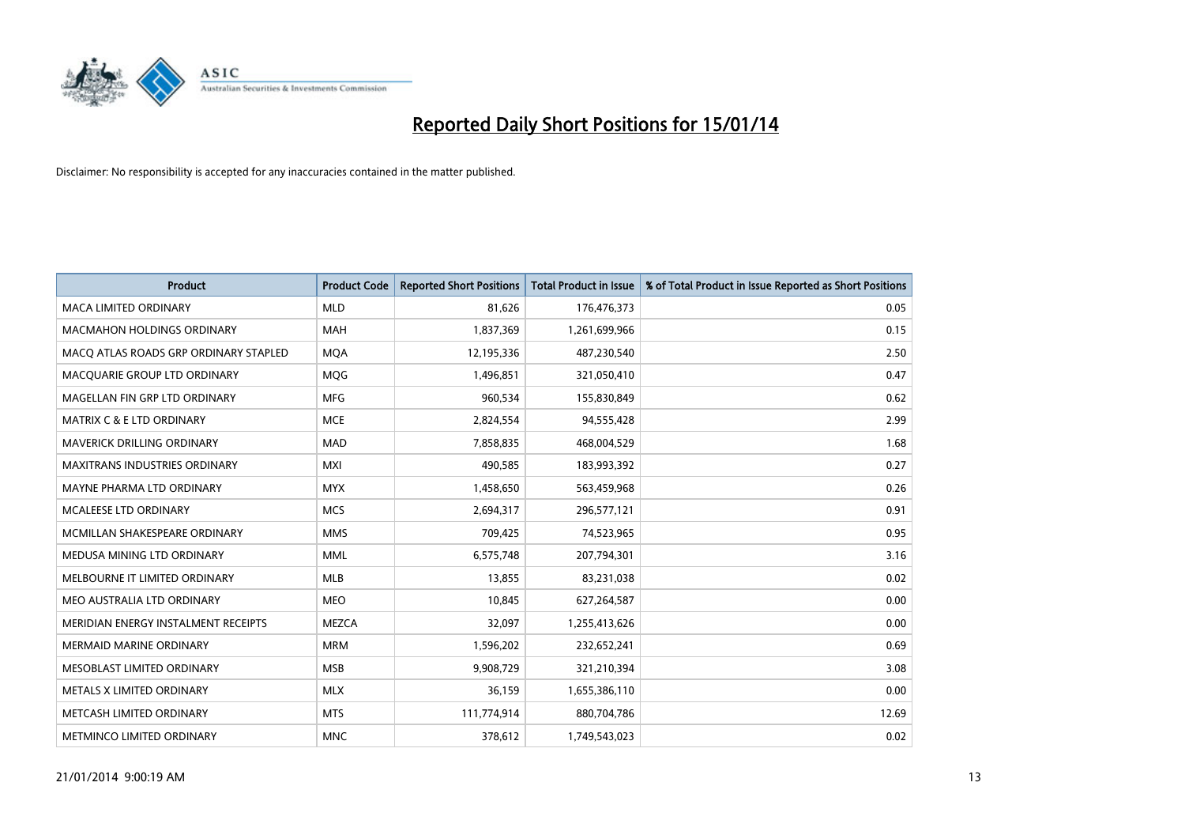

| <b>Product</b>                        | <b>Product Code</b> | <b>Reported Short Positions</b> | <b>Total Product in Issue</b> | % of Total Product in Issue Reported as Short Positions |
|---------------------------------------|---------------------|---------------------------------|-------------------------------|---------------------------------------------------------|
| <b>MACA LIMITED ORDINARY</b>          | <b>MLD</b>          | 81,626                          | 176,476,373                   | 0.05                                                    |
| <b>MACMAHON HOLDINGS ORDINARY</b>     | <b>MAH</b>          | 1,837,369                       | 1,261,699,966                 | 0.15                                                    |
| MACO ATLAS ROADS GRP ORDINARY STAPLED | <b>MOA</b>          | 12,195,336                      | 487,230,540                   | 2.50                                                    |
| MACQUARIE GROUP LTD ORDINARY          | MQG                 | 1,496,851                       | 321,050,410                   | 0.47                                                    |
| MAGELLAN FIN GRP LTD ORDINARY         | <b>MFG</b>          | 960,534                         | 155,830,849                   | 0.62                                                    |
| <b>MATRIX C &amp; E LTD ORDINARY</b>  | <b>MCE</b>          | 2,824,554                       | 94,555,428                    | 2.99                                                    |
| MAVERICK DRILLING ORDINARY            | <b>MAD</b>          | 7,858,835                       | 468,004,529                   | 1.68                                                    |
| MAXITRANS INDUSTRIES ORDINARY         | <b>MXI</b>          | 490,585                         | 183,993,392                   | 0.27                                                    |
| MAYNE PHARMA LTD ORDINARY             | <b>MYX</b>          | 1,458,650                       | 563,459,968                   | 0.26                                                    |
| MCALEESE LTD ORDINARY                 | <b>MCS</b>          | 2,694,317                       | 296,577,121                   | 0.91                                                    |
| MCMILLAN SHAKESPEARE ORDINARY         | <b>MMS</b>          | 709,425                         | 74,523,965                    | 0.95                                                    |
| MEDUSA MINING LTD ORDINARY            | <b>MML</b>          | 6,575,748                       | 207,794,301                   | 3.16                                                    |
| MELBOURNE IT LIMITED ORDINARY         | <b>MLB</b>          | 13,855                          | 83,231,038                    | 0.02                                                    |
| MEO AUSTRALIA LTD ORDINARY            | <b>MEO</b>          | 10,845                          | 627,264,587                   | 0.00                                                    |
| MERIDIAN ENERGY INSTALMENT RECEIPTS   | <b>MEZCA</b>        | 32,097                          | 1,255,413,626                 | 0.00                                                    |
| MERMAID MARINE ORDINARY               | <b>MRM</b>          | 1,596,202                       | 232,652,241                   | 0.69                                                    |
| MESOBLAST LIMITED ORDINARY            | <b>MSB</b>          | 9,908,729                       | 321,210,394                   | 3.08                                                    |
| METALS X LIMITED ORDINARY             | <b>MLX</b>          | 36,159                          | 1,655,386,110                 | 0.00                                                    |
| METCASH LIMITED ORDINARY              | <b>MTS</b>          | 111,774,914                     | 880,704,786                   | 12.69                                                   |
| METMINCO LIMITED ORDINARY             | <b>MNC</b>          | 378,612                         | 1,749,543,023                 | 0.02                                                    |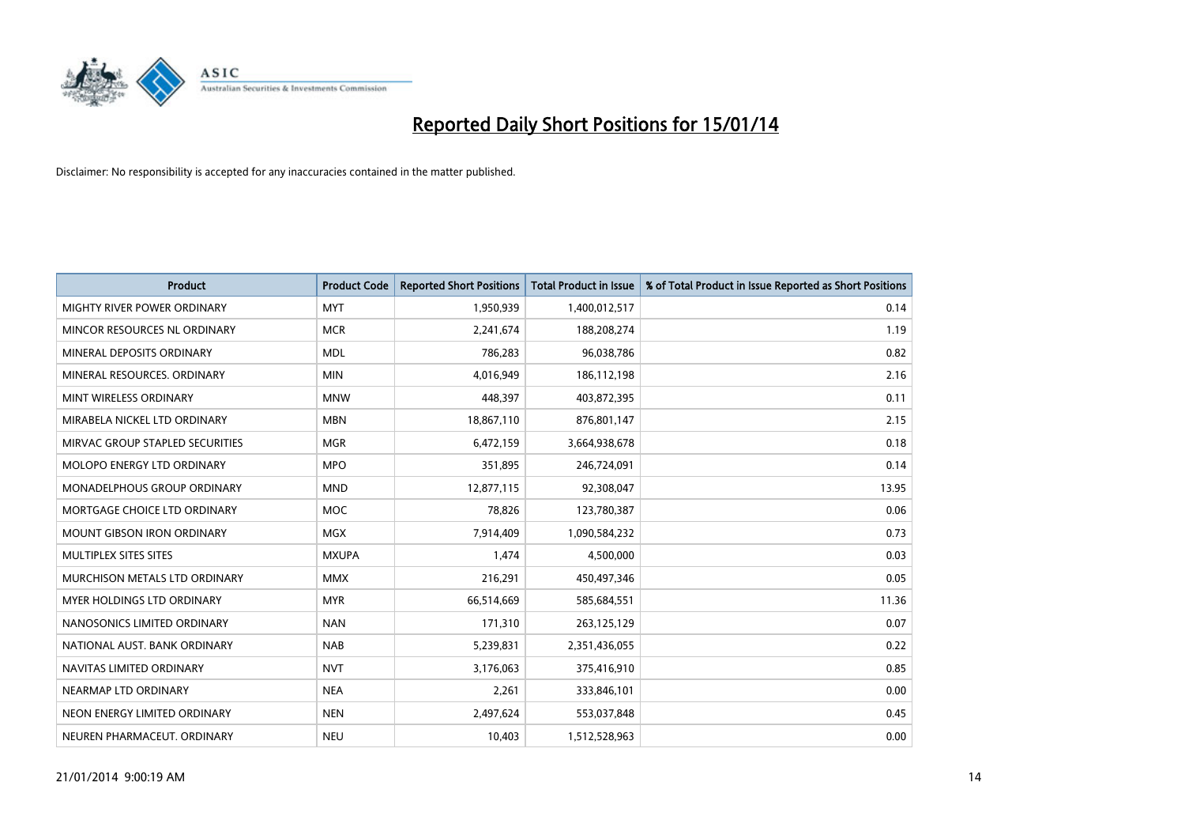

| <b>Product</b>                    | <b>Product Code</b> | <b>Reported Short Positions</b> | <b>Total Product in Issue</b> | % of Total Product in Issue Reported as Short Positions |
|-----------------------------------|---------------------|---------------------------------|-------------------------------|---------------------------------------------------------|
| MIGHTY RIVER POWER ORDINARY       | <b>MYT</b>          | 1,950,939                       | 1,400,012,517                 | 0.14                                                    |
| MINCOR RESOURCES NL ORDINARY      | <b>MCR</b>          | 2,241,674                       | 188,208,274                   | 1.19                                                    |
| MINERAL DEPOSITS ORDINARY         | <b>MDL</b>          | 786,283                         | 96,038,786                    | 0.82                                                    |
| MINERAL RESOURCES. ORDINARY       | <b>MIN</b>          | 4,016,949                       | 186,112,198                   | 2.16                                                    |
| MINT WIRELESS ORDINARY            | <b>MNW</b>          | 448,397                         | 403,872,395                   | 0.11                                                    |
| MIRABELA NICKEL LTD ORDINARY      | <b>MBN</b>          | 18,867,110                      | 876,801,147                   | 2.15                                                    |
| MIRVAC GROUP STAPLED SECURITIES   | <b>MGR</b>          | 6,472,159                       | 3,664,938,678                 | 0.18                                                    |
| MOLOPO ENERGY LTD ORDINARY        | <b>MPO</b>          | 351,895                         | 246,724,091                   | 0.14                                                    |
| MONADELPHOUS GROUP ORDINARY       | <b>MND</b>          | 12,877,115                      | 92,308,047                    | 13.95                                                   |
| MORTGAGE CHOICE LTD ORDINARY      | <b>MOC</b>          | 78,826                          | 123,780,387                   | 0.06                                                    |
| <b>MOUNT GIBSON IRON ORDINARY</b> | <b>MGX</b>          | 7,914,409                       | 1,090,584,232                 | 0.73                                                    |
| MULTIPLEX SITES SITES             | <b>MXUPA</b>        | 1,474                           | 4,500,000                     | 0.03                                                    |
| MURCHISON METALS LTD ORDINARY     | <b>MMX</b>          | 216,291                         | 450,497,346                   | 0.05                                                    |
| MYER HOLDINGS LTD ORDINARY        | <b>MYR</b>          | 66,514,669                      | 585,684,551                   | 11.36                                                   |
| NANOSONICS LIMITED ORDINARY       | <b>NAN</b>          | 171,310                         | 263,125,129                   | 0.07                                                    |
| NATIONAL AUST, BANK ORDINARY      | <b>NAB</b>          | 5,239,831                       | 2,351,436,055                 | 0.22                                                    |
| NAVITAS LIMITED ORDINARY          | <b>NVT</b>          | 3,176,063                       | 375,416,910                   | 0.85                                                    |
| NEARMAP LTD ORDINARY              | <b>NEA</b>          | 2,261                           | 333,846,101                   | 0.00                                                    |
| NEON ENERGY LIMITED ORDINARY      | <b>NEN</b>          | 2,497,624                       | 553,037,848                   | 0.45                                                    |
| NEUREN PHARMACEUT. ORDINARY       | <b>NEU</b>          | 10,403                          | 1,512,528,963                 | 0.00                                                    |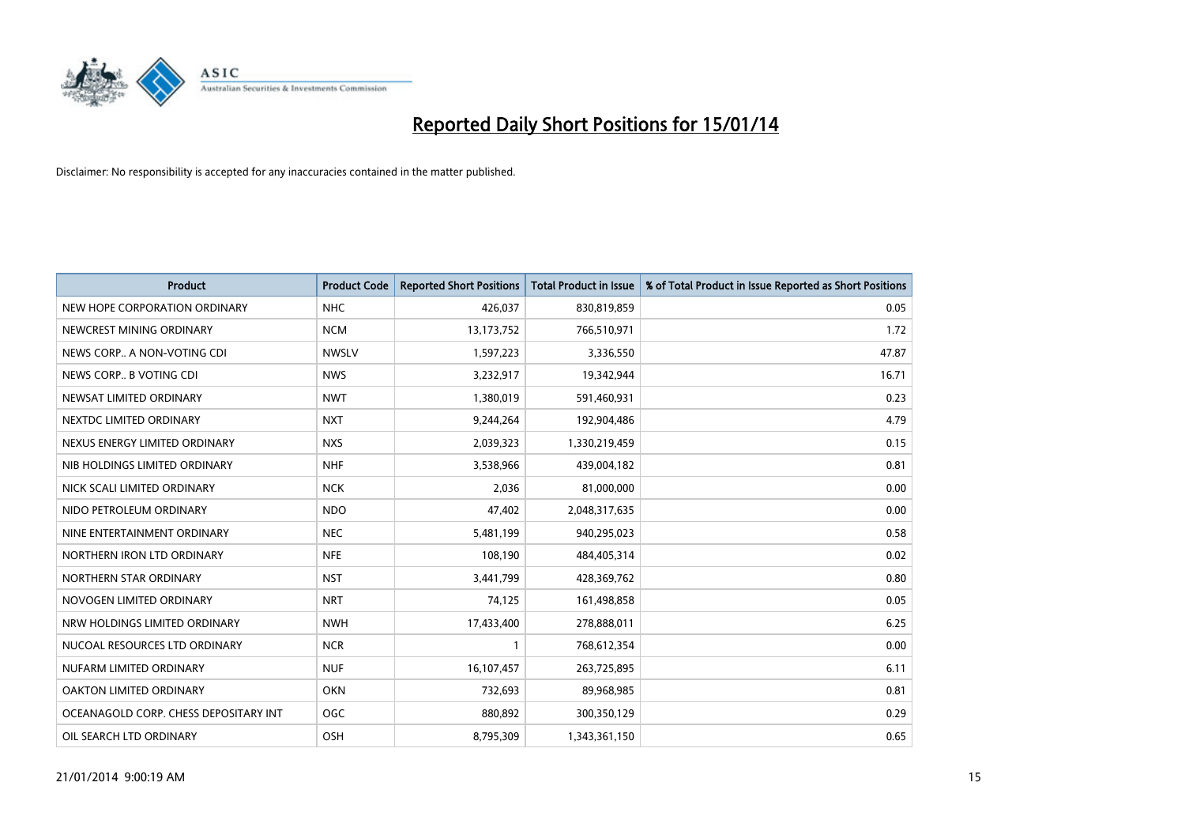

| <b>Product</b>                        | <b>Product Code</b> | <b>Reported Short Positions</b> | <b>Total Product in Issue</b> | % of Total Product in Issue Reported as Short Positions |
|---------------------------------------|---------------------|---------------------------------|-------------------------------|---------------------------------------------------------|
| NEW HOPE CORPORATION ORDINARY         | <b>NHC</b>          | 426,037                         | 830,819,859                   | 0.05                                                    |
| NEWCREST MINING ORDINARY              | <b>NCM</b>          | 13, 173, 752                    | 766,510,971                   | 1.72                                                    |
| NEWS CORP A NON-VOTING CDI            | <b>NWSLV</b>        | 1,597,223                       | 3,336,550                     | 47.87                                                   |
| NEWS CORP B VOTING CDI                | <b>NWS</b>          | 3,232,917                       | 19,342,944                    | 16.71                                                   |
| NEWSAT LIMITED ORDINARY               | <b>NWT</b>          | 1,380,019                       | 591,460,931                   | 0.23                                                    |
| NEXTDC LIMITED ORDINARY               | <b>NXT</b>          | 9,244,264                       | 192,904,486                   | 4.79                                                    |
| NEXUS ENERGY LIMITED ORDINARY         | <b>NXS</b>          | 2,039,323                       | 1,330,219,459                 | 0.15                                                    |
| NIB HOLDINGS LIMITED ORDINARY         | <b>NHF</b>          | 3,538,966                       | 439,004,182                   | 0.81                                                    |
| NICK SCALI LIMITED ORDINARY           | <b>NCK</b>          | 2,036                           | 81,000,000                    | 0.00                                                    |
| NIDO PETROLEUM ORDINARY               | <b>NDO</b>          | 47,402                          | 2,048,317,635                 | 0.00                                                    |
| NINE ENTERTAINMENT ORDINARY           | <b>NEC</b>          | 5,481,199                       | 940,295,023                   | 0.58                                                    |
| NORTHERN IRON LTD ORDINARY            | <b>NFE</b>          | 108,190                         | 484,405,314                   | 0.02                                                    |
| NORTHERN STAR ORDINARY                | <b>NST</b>          | 3,441,799                       | 428,369,762                   | 0.80                                                    |
| NOVOGEN LIMITED ORDINARY              | <b>NRT</b>          | 74,125                          | 161,498,858                   | 0.05                                                    |
| NRW HOLDINGS LIMITED ORDINARY         | <b>NWH</b>          | 17,433,400                      | 278,888,011                   | 6.25                                                    |
| NUCOAL RESOURCES LTD ORDINARY         | <b>NCR</b>          |                                 | 768,612,354                   | 0.00                                                    |
| NUFARM LIMITED ORDINARY               | <b>NUF</b>          | 16,107,457                      | 263,725,895                   | 6.11                                                    |
| OAKTON LIMITED ORDINARY               | <b>OKN</b>          | 732,693                         | 89,968,985                    | 0.81                                                    |
| OCEANAGOLD CORP. CHESS DEPOSITARY INT | <b>OGC</b>          | 880,892                         | 300,350,129                   | 0.29                                                    |
| OIL SEARCH LTD ORDINARY               | OSH                 | 8,795,309                       | 1,343,361,150                 | 0.65                                                    |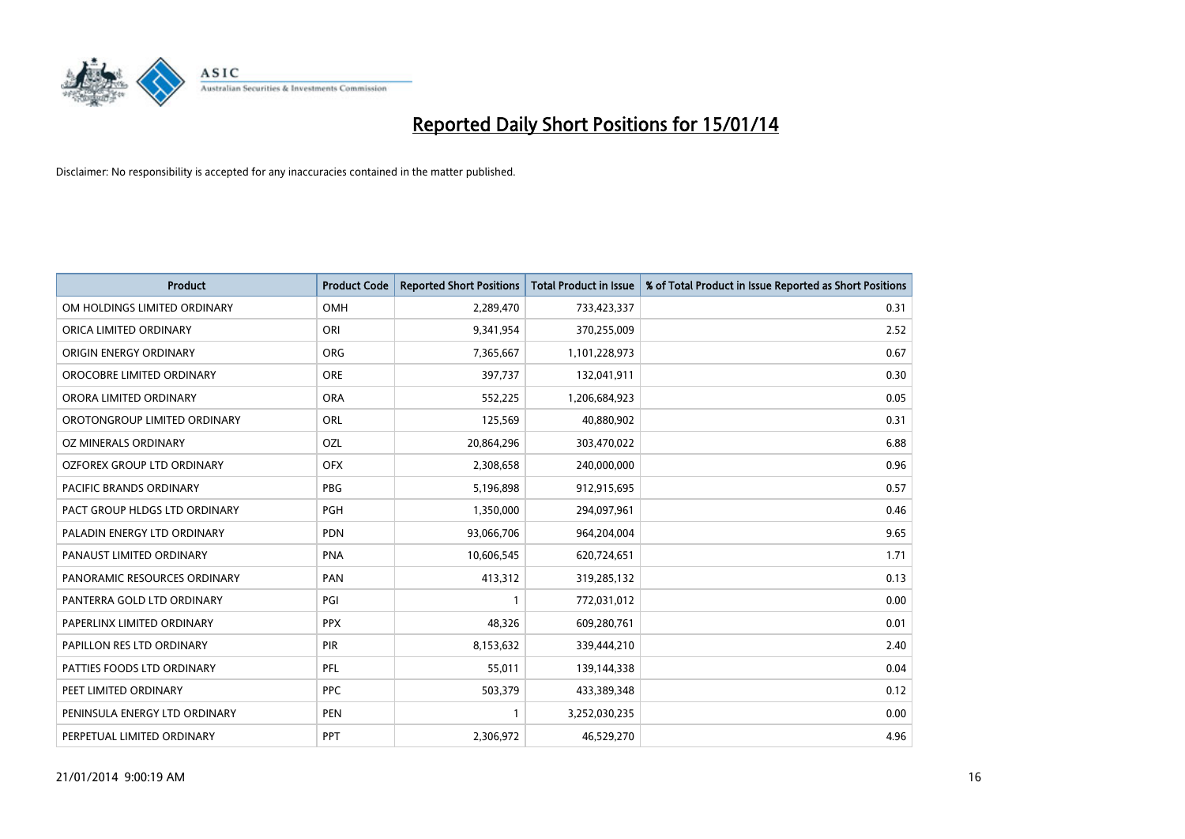

| <b>Product</b>                 | <b>Product Code</b> | <b>Reported Short Positions</b> | <b>Total Product in Issue</b> | % of Total Product in Issue Reported as Short Positions |
|--------------------------------|---------------------|---------------------------------|-------------------------------|---------------------------------------------------------|
| OM HOLDINGS LIMITED ORDINARY   | OMH                 | 2,289,470                       | 733,423,337                   | 0.31                                                    |
| ORICA LIMITED ORDINARY         | ORI                 | 9,341,954                       | 370,255,009                   | 2.52                                                    |
| ORIGIN ENERGY ORDINARY         | <b>ORG</b>          | 7,365,667                       | 1,101,228,973                 | 0.67                                                    |
| OROCOBRE LIMITED ORDINARY      | <b>ORE</b>          | 397,737                         | 132,041,911                   | 0.30                                                    |
| ORORA LIMITED ORDINARY         | <b>ORA</b>          | 552,225                         | 1,206,684,923                 | 0.05                                                    |
| OROTONGROUP LIMITED ORDINARY   | <b>ORL</b>          | 125,569                         | 40,880,902                    | 0.31                                                    |
| OZ MINERALS ORDINARY           | OZL                 | 20,864,296                      | 303,470,022                   | 6.88                                                    |
| OZFOREX GROUP LTD ORDINARY     | <b>OFX</b>          | 2,308,658                       | 240,000,000                   | 0.96                                                    |
| <b>PACIFIC BRANDS ORDINARY</b> | <b>PBG</b>          | 5,196,898                       | 912,915,695                   | 0.57                                                    |
| PACT GROUP HLDGS LTD ORDINARY  | <b>PGH</b>          | 1,350,000                       | 294,097,961                   | 0.46                                                    |
| PALADIN ENERGY LTD ORDINARY    | <b>PDN</b>          | 93,066,706                      | 964,204,004                   | 9.65                                                    |
| PANAUST LIMITED ORDINARY       | <b>PNA</b>          | 10,606,545                      | 620,724,651                   | 1.71                                                    |
| PANORAMIC RESOURCES ORDINARY   | PAN                 | 413,312                         | 319,285,132                   | 0.13                                                    |
| PANTERRA GOLD LTD ORDINARY     | PGI                 | $\mathbf{1}$                    | 772,031,012                   | 0.00                                                    |
| PAPERLINX LIMITED ORDINARY     | <b>PPX</b>          | 48,326                          | 609,280,761                   | 0.01                                                    |
| PAPILLON RES LTD ORDINARY      | PIR                 | 8,153,632                       | 339,444,210                   | 2.40                                                    |
| PATTIES FOODS LTD ORDINARY     | PFL                 | 55,011                          | 139,144,338                   | 0.04                                                    |
| PEET LIMITED ORDINARY          | <b>PPC</b>          | 503,379                         | 433,389,348                   | 0.12                                                    |
| PENINSULA ENERGY LTD ORDINARY  | <b>PEN</b>          | 1                               | 3,252,030,235                 | 0.00                                                    |
| PERPETUAL LIMITED ORDINARY     | <b>PPT</b>          | 2,306,972                       | 46,529,270                    | 4.96                                                    |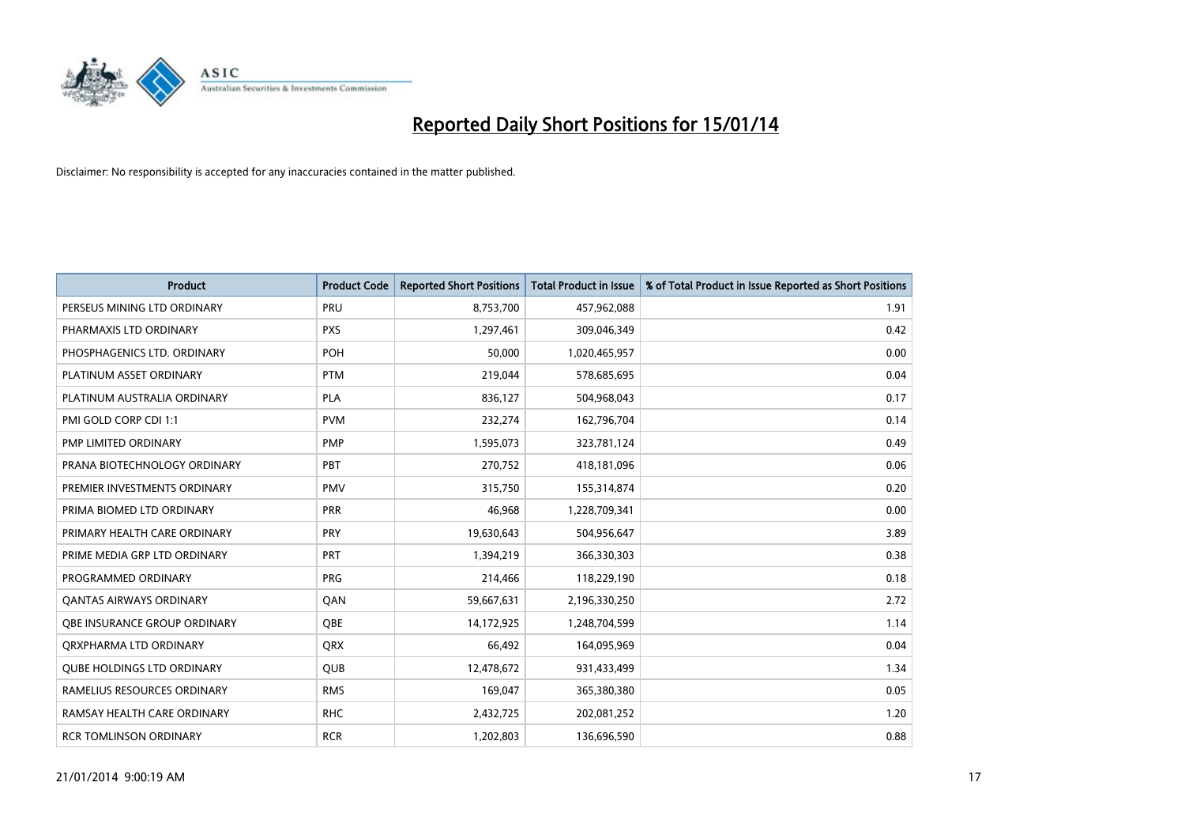

| <b>Product</b>                    | <b>Product Code</b> | <b>Reported Short Positions</b> | <b>Total Product in Issue</b> | % of Total Product in Issue Reported as Short Positions |
|-----------------------------------|---------------------|---------------------------------|-------------------------------|---------------------------------------------------------|
| PERSEUS MINING LTD ORDINARY       | PRU                 | 8,753,700                       | 457,962,088                   | 1.91                                                    |
| PHARMAXIS LTD ORDINARY            | <b>PXS</b>          | 1,297,461                       | 309,046,349                   | 0.42                                                    |
| PHOSPHAGENICS LTD. ORDINARY       | <b>POH</b>          | 50,000                          | 1,020,465,957                 | 0.00                                                    |
| PLATINUM ASSET ORDINARY           | <b>PTM</b>          | 219,044                         | 578,685,695                   | 0.04                                                    |
| PLATINUM AUSTRALIA ORDINARY       | <b>PLA</b>          | 836,127                         | 504,968,043                   | 0.17                                                    |
| PMI GOLD CORP CDI 1:1             | <b>PVM</b>          | 232,274                         | 162,796,704                   | 0.14                                                    |
| PMP LIMITED ORDINARY              | <b>PMP</b>          | 1,595,073                       | 323,781,124                   | 0.49                                                    |
| PRANA BIOTECHNOLOGY ORDINARY      | PBT                 | 270,752                         | 418,181,096                   | 0.06                                                    |
| PREMIER INVESTMENTS ORDINARY      | <b>PMV</b>          | 315,750                         | 155,314,874                   | 0.20                                                    |
| PRIMA BIOMED LTD ORDINARY         | <b>PRR</b>          | 46,968                          | 1,228,709,341                 | 0.00                                                    |
| PRIMARY HEALTH CARE ORDINARY      | <b>PRY</b>          | 19,630,643                      | 504,956,647                   | 3.89                                                    |
| PRIME MEDIA GRP LTD ORDINARY      | <b>PRT</b>          | 1,394,219                       | 366,330,303                   | 0.38                                                    |
| PROGRAMMED ORDINARY               | <b>PRG</b>          | 214,466                         | 118,229,190                   | 0.18                                                    |
| <b>QANTAS AIRWAYS ORDINARY</b>    | QAN                 | 59,667,631                      | 2,196,330,250                 | 2.72                                                    |
| OBE INSURANCE GROUP ORDINARY      | <b>OBE</b>          | 14,172,925                      | 1,248,704,599                 | 1.14                                                    |
| ORXPHARMA LTD ORDINARY            | QRX                 | 66,492                          | 164,095,969                   | 0.04                                                    |
| <b>QUBE HOLDINGS LTD ORDINARY</b> | QUB                 | 12,478,672                      | 931,433,499                   | 1.34                                                    |
| RAMELIUS RESOURCES ORDINARY       | <b>RMS</b>          | 169,047                         | 365,380,380                   | 0.05                                                    |
| RAMSAY HEALTH CARE ORDINARY       | <b>RHC</b>          | 2,432,725                       | 202,081,252                   | 1.20                                                    |
| <b>RCR TOMLINSON ORDINARY</b>     | <b>RCR</b>          | 1,202,803                       | 136,696,590                   | 0.88                                                    |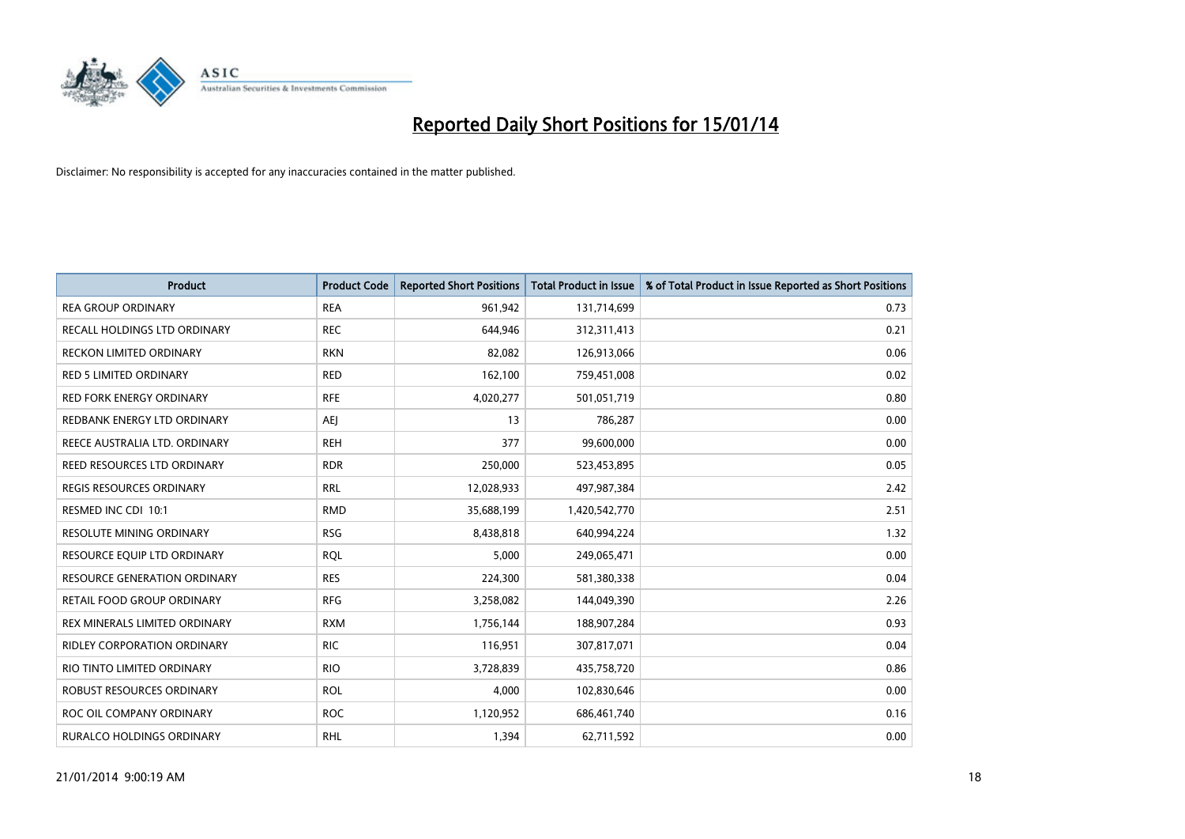

| <b>Product</b>                      | <b>Product Code</b> | <b>Reported Short Positions</b> | <b>Total Product in Issue</b> | % of Total Product in Issue Reported as Short Positions |
|-------------------------------------|---------------------|---------------------------------|-------------------------------|---------------------------------------------------------|
| <b>REA GROUP ORDINARY</b>           | <b>REA</b>          | 961,942                         | 131,714,699                   | 0.73                                                    |
| RECALL HOLDINGS LTD ORDINARY        | <b>REC</b>          | 644,946                         | 312,311,413                   | 0.21                                                    |
| <b>RECKON LIMITED ORDINARY</b>      | <b>RKN</b>          | 82,082                          | 126,913,066                   | 0.06                                                    |
| <b>RED 5 LIMITED ORDINARY</b>       | <b>RED</b>          | 162,100                         | 759,451,008                   | 0.02                                                    |
| <b>RED FORK ENERGY ORDINARY</b>     | <b>RFE</b>          | 4,020,277                       | 501,051,719                   | 0.80                                                    |
| REDBANK ENERGY LTD ORDINARY         | <b>AEJ</b>          | 13                              | 786,287                       | 0.00                                                    |
| REECE AUSTRALIA LTD. ORDINARY       | <b>REH</b>          | 377                             | 99,600,000                    | 0.00                                                    |
| <b>REED RESOURCES LTD ORDINARY</b>  | <b>RDR</b>          | 250,000                         | 523,453,895                   | 0.05                                                    |
| REGIS RESOURCES ORDINARY            | <b>RRL</b>          | 12,028,933                      | 497,987,384                   | 2.42                                                    |
| RESMED INC CDI 10:1                 | <b>RMD</b>          | 35,688,199                      | 1,420,542,770                 | 2.51                                                    |
| RESOLUTE MINING ORDINARY            | <b>RSG</b>          | 8,438,818                       | 640,994,224                   | 1.32                                                    |
| RESOURCE EQUIP LTD ORDINARY         | <b>RQL</b>          | 5,000                           | 249,065,471                   | 0.00                                                    |
| <b>RESOURCE GENERATION ORDINARY</b> | <b>RES</b>          | 224,300                         | 581,380,338                   | 0.04                                                    |
| <b>RETAIL FOOD GROUP ORDINARY</b>   | <b>RFG</b>          | 3,258,082                       | 144,049,390                   | 2.26                                                    |
| REX MINERALS LIMITED ORDINARY       | <b>RXM</b>          | 1,756,144                       | 188,907,284                   | 0.93                                                    |
| <b>RIDLEY CORPORATION ORDINARY</b>  | <b>RIC</b>          | 116,951                         | 307,817,071                   | 0.04                                                    |
| RIO TINTO LIMITED ORDINARY          | <b>RIO</b>          | 3,728,839                       | 435,758,720                   | 0.86                                                    |
| <b>ROBUST RESOURCES ORDINARY</b>    | <b>ROL</b>          | 4,000                           | 102,830,646                   | 0.00                                                    |
| ROC OIL COMPANY ORDINARY            | <b>ROC</b>          | 1,120,952                       | 686,461,740                   | 0.16                                                    |
| <b>RURALCO HOLDINGS ORDINARY</b>    | <b>RHL</b>          | 1,394                           | 62,711,592                    | 0.00                                                    |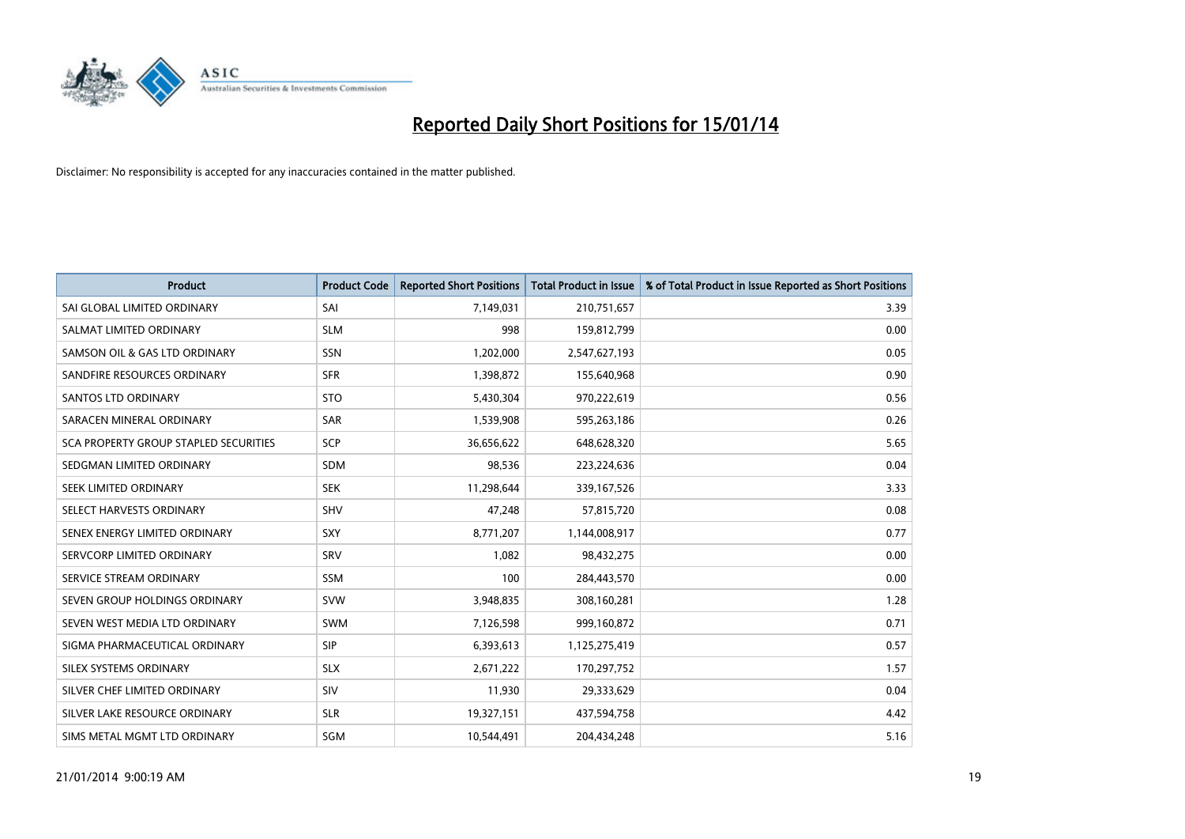

| <b>Product</b>                        | <b>Product Code</b> | <b>Reported Short Positions</b> | <b>Total Product in Issue</b> | % of Total Product in Issue Reported as Short Positions |
|---------------------------------------|---------------------|---------------------------------|-------------------------------|---------------------------------------------------------|
| SAI GLOBAL LIMITED ORDINARY           | SAI                 | 7,149,031                       | 210,751,657                   | 3.39                                                    |
| SALMAT LIMITED ORDINARY               | <b>SLM</b>          | 998                             | 159,812,799                   | 0.00                                                    |
| SAMSON OIL & GAS LTD ORDINARY         | SSN                 | 1,202,000                       | 2,547,627,193                 | 0.05                                                    |
| SANDFIRE RESOURCES ORDINARY           | <b>SFR</b>          | 1,398,872                       | 155,640,968                   | 0.90                                                    |
| <b>SANTOS LTD ORDINARY</b>            | <b>STO</b>          | 5,430,304                       | 970,222,619                   | 0.56                                                    |
| SARACEN MINERAL ORDINARY              | <b>SAR</b>          | 1,539,908                       | 595,263,186                   | 0.26                                                    |
| SCA PROPERTY GROUP STAPLED SECURITIES | <b>SCP</b>          | 36,656,622                      | 648,628,320                   | 5.65                                                    |
| SEDGMAN LIMITED ORDINARY              | <b>SDM</b>          | 98,536                          | 223,224,636                   | 0.04                                                    |
| SEEK LIMITED ORDINARY                 | <b>SEK</b>          | 11,298,644                      | 339, 167, 526                 | 3.33                                                    |
| SELECT HARVESTS ORDINARY              | SHV                 | 47,248                          | 57,815,720                    | 0.08                                                    |
| SENEX ENERGY LIMITED ORDINARY         | <b>SXY</b>          | 8,771,207                       | 1,144,008,917                 | 0.77                                                    |
| SERVCORP LIMITED ORDINARY             | SRV                 | 1,082                           | 98,432,275                    | 0.00                                                    |
| SERVICE STREAM ORDINARY               | <b>SSM</b>          | 100                             | 284,443,570                   | 0.00                                                    |
| SEVEN GROUP HOLDINGS ORDINARY         | <b>SVW</b>          | 3,948,835                       | 308,160,281                   | 1.28                                                    |
| SEVEN WEST MEDIA LTD ORDINARY         | <b>SWM</b>          | 7,126,598                       | 999,160,872                   | 0.71                                                    |
| SIGMA PHARMACEUTICAL ORDINARY         | <b>SIP</b>          | 6,393,613                       | 1,125,275,419                 | 0.57                                                    |
| SILEX SYSTEMS ORDINARY                | <b>SLX</b>          | 2,671,222                       | 170,297,752                   | 1.57                                                    |
| SILVER CHEF LIMITED ORDINARY          | SIV                 | 11,930                          | 29,333,629                    | 0.04                                                    |
| SILVER LAKE RESOURCE ORDINARY         | <b>SLR</b>          | 19,327,151                      | 437,594,758                   | 4.42                                                    |
| SIMS METAL MGMT LTD ORDINARY          | SGM                 | 10,544,491                      | 204,434,248                   | 5.16                                                    |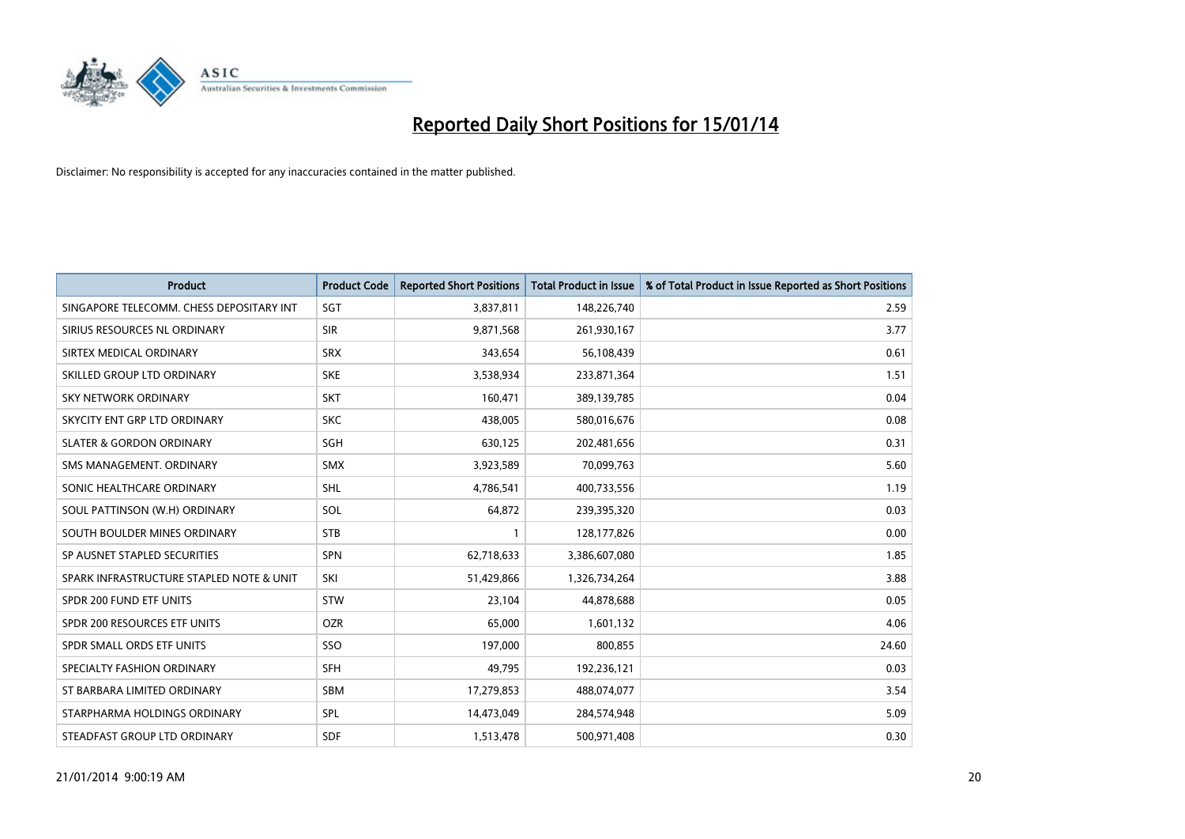

| <b>Product</b>                           | <b>Product Code</b> | <b>Reported Short Positions</b> | <b>Total Product in Issue</b> | % of Total Product in Issue Reported as Short Positions |
|------------------------------------------|---------------------|---------------------------------|-------------------------------|---------------------------------------------------------|
| SINGAPORE TELECOMM. CHESS DEPOSITARY INT | SGT                 | 3,837,811                       | 148,226,740                   | 2.59                                                    |
| SIRIUS RESOURCES NL ORDINARY             | <b>SIR</b>          | 9,871,568                       | 261,930,167                   | 3.77                                                    |
| SIRTEX MEDICAL ORDINARY                  | <b>SRX</b>          | 343,654                         | 56,108,439                    | 0.61                                                    |
| SKILLED GROUP LTD ORDINARY               | <b>SKE</b>          | 3,538,934                       | 233,871,364                   | 1.51                                                    |
| <b>SKY NETWORK ORDINARY</b>              | <b>SKT</b>          | 160,471                         | 389,139,785                   | 0.04                                                    |
| SKYCITY ENT GRP LTD ORDINARY             | <b>SKC</b>          | 438,005                         | 580,016,676                   | 0.08                                                    |
| <b>SLATER &amp; GORDON ORDINARY</b>      | SGH                 | 630,125                         | 202,481,656                   | 0.31                                                    |
| SMS MANAGEMENT, ORDINARY                 | <b>SMX</b>          | 3,923,589                       | 70,099,763                    | 5.60                                                    |
| SONIC HEALTHCARE ORDINARY                | SHL                 | 4,786,541                       | 400,733,556                   | 1.19                                                    |
| SOUL PATTINSON (W.H) ORDINARY            | SOL                 | 64,872                          | 239,395,320                   | 0.03                                                    |
| SOUTH BOULDER MINES ORDINARY             | <b>STB</b>          |                                 | 128,177,826                   | 0.00                                                    |
| SP AUSNET STAPLED SECURITIES             | SPN                 | 62,718,633                      | 3,386,607,080                 | 1.85                                                    |
| SPARK INFRASTRUCTURE STAPLED NOTE & UNIT | SKI                 | 51,429,866                      | 1,326,734,264                 | 3.88                                                    |
| SPDR 200 FUND ETF UNITS                  | <b>STW</b>          | 23,104                          | 44,878,688                    | 0.05                                                    |
| SPDR 200 RESOURCES ETF UNITS             | <b>OZR</b>          | 65,000                          | 1,601,132                     | 4.06                                                    |
| SPDR SMALL ORDS ETF UNITS                | SSO                 | 197,000                         | 800,855                       | 24.60                                                   |
| SPECIALTY FASHION ORDINARY               | <b>SFH</b>          | 49,795                          | 192,236,121                   | 0.03                                                    |
| ST BARBARA LIMITED ORDINARY              | <b>SBM</b>          | 17,279,853                      | 488,074,077                   | 3.54                                                    |
| STARPHARMA HOLDINGS ORDINARY             | SPL                 | 14,473,049                      | 284,574,948                   | 5.09                                                    |
| STEADFAST GROUP LTD ORDINARY             | <b>SDF</b>          | 1,513,478                       | 500,971,408                   | 0.30                                                    |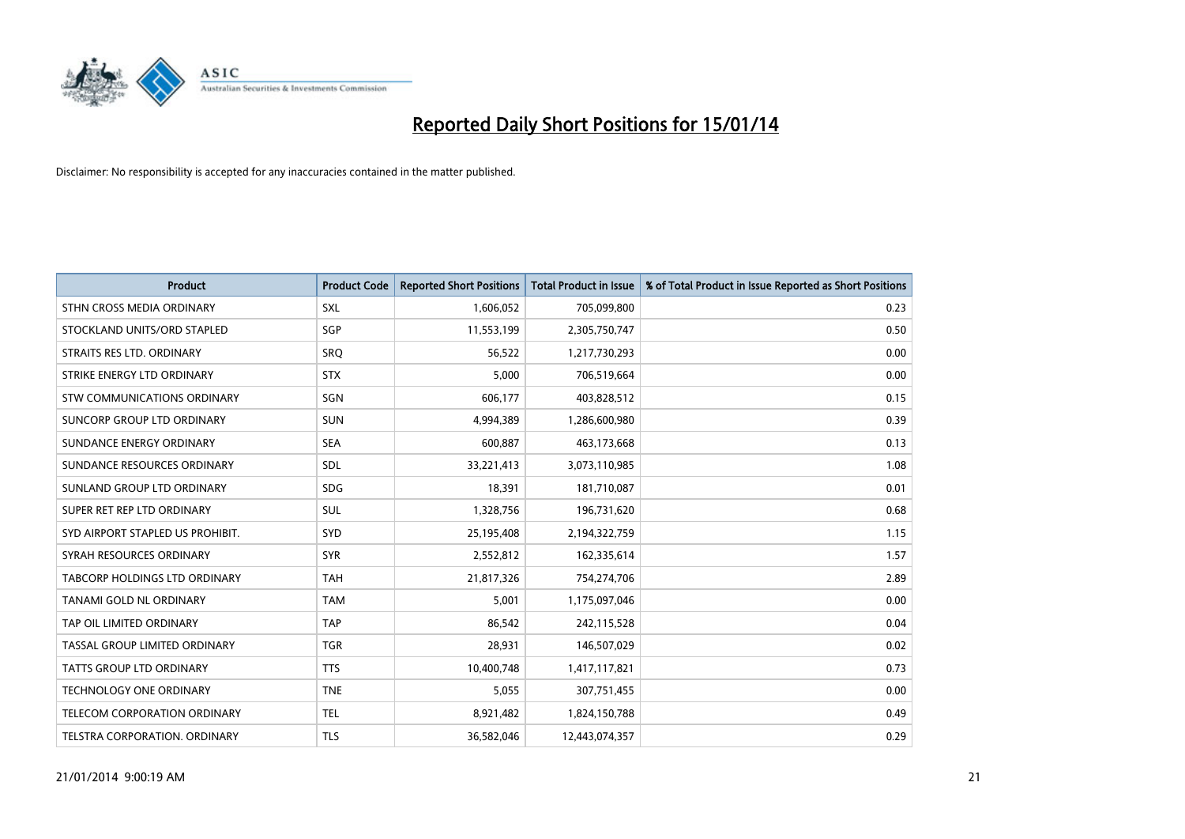

| <b>Product</b>                       | <b>Product Code</b> | <b>Reported Short Positions</b> | <b>Total Product in Issue</b> | % of Total Product in Issue Reported as Short Positions |
|--------------------------------------|---------------------|---------------------------------|-------------------------------|---------------------------------------------------------|
| STHN CROSS MEDIA ORDINARY            | <b>SXL</b>          | 1,606,052                       | 705,099,800                   | 0.23                                                    |
| STOCKLAND UNITS/ORD STAPLED          | SGP                 | 11,553,199                      | 2,305,750,747                 | 0.50                                                    |
| STRAITS RES LTD. ORDINARY            | <b>SRQ</b>          | 56,522                          | 1,217,730,293                 | 0.00                                                    |
| STRIKE ENERGY LTD ORDINARY           | <b>STX</b>          | 5,000                           | 706,519,664                   | 0.00                                                    |
| STW COMMUNICATIONS ORDINARY          | SGN                 | 606,177                         | 403,828,512                   | 0.15                                                    |
| SUNCORP GROUP LTD ORDINARY           | <b>SUN</b>          | 4,994,389                       | 1,286,600,980                 | 0.39                                                    |
| SUNDANCE ENERGY ORDINARY             | <b>SEA</b>          | 600.887                         | 463,173,668                   | 0.13                                                    |
| SUNDANCE RESOURCES ORDINARY          | SDL                 | 33,221,413                      | 3,073,110,985                 | 1.08                                                    |
| SUNLAND GROUP LTD ORDINARY           | <b>SDG</b>          | 18,391                          | 181,710,087                   | 0.01                                                    |
| SUPER RET REP LTD ORDINARY           | <b>SUL</b>          | 1,328,756                       | 196,731,620                   | 0.68                                                    |
| SYD AIRPORT STAPLED US PROHIBIT.     | <b>SYD</b>          | 25,195,408                      | 2,194,322,759                 | 1.15                                                    |
| SYRAH RESOURCES ORDINARY             | <b>SYR</b>          | 2,552,812                       | 162,335,614                   | 1.57                                                    |
| <b>TABCORP HOLDINGS LTD ORDINARY</b> | <b>TAH</b>          | 21,817,326                      | 754,274,706                   | 2.89                                                    |
| TANAMI GOLD NL ORDINARY              | <b>TAM</b>          | 5,001                           | 1,175,097,046                 | 0.00                                                    |
| TAP OIL LIMITED ORDINARY             | <b>TAP</b>          | 86,542                          | 242,115,528                   | 0.04                                                    |
| TASSAL GROUP LIMITED ORDINARY        | <b>TGR</b>          | 28,931                          | 146,507,029                   | 0.02                                                    |
| <b>TATTS GROUP LTD ORDINARY</b>      | <b>TTS</b>          | 10,400,748                      | 1,417,117,821                 | 0.73                                                    |
| TECHNOLOGY ONE ORDINARY              | <b>TNE</b>          | 5,055                           | 307,751,455                   | 0.00                                                    |
| TELECOM CORPORATION ORDINARY         | <b>TEL</b>          | 8,921,482                       | 1,824,150,788                 | 0.49                                                    |
| TELSTRA CORPORATION, ORDINARY        | <b>TLS</b>          | 36,582,046                      | 12,443,074,357                | 0.29                                                    |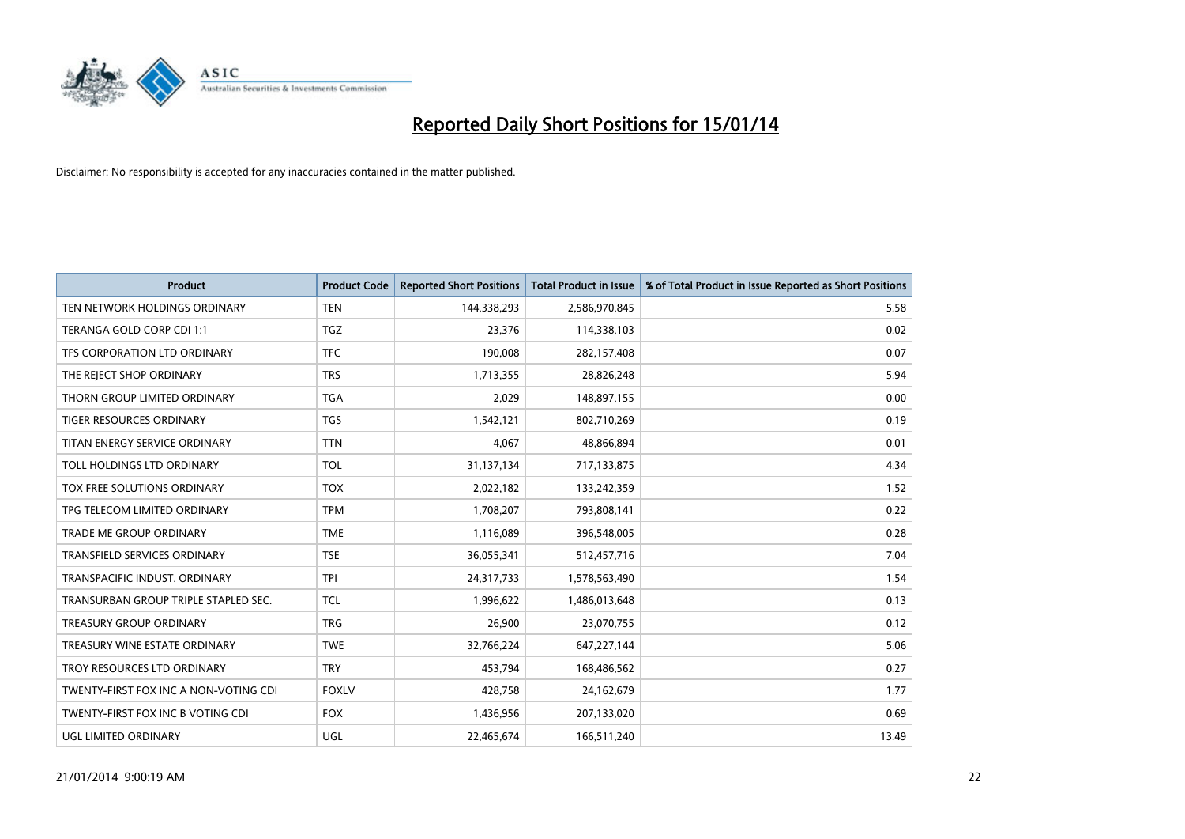

| <b>Product</b>                        | <b>Product Code</b> | <b>Reported Short Positions</b> | <b>Total Product in Issue</b> | % of Total Product in Issue Reported as Short Positions |
|---------------------------------------|---------------------|---------------------------------|-------------------------------|---------------------------------------------------------|
| TEN NETWORK HOLDINGS ORDINARY         | <b>TEN</b>          | 144,338,293                     | 2,586,970,845                 | 5.58                                                    |
| TERANGA GOLD CORP CDI 1:1             | TGZ                 | 23,376                          | 114,338,103                   | 0.02                                                    |
| TFS CORPORATION LTD ORDINARY          | <b>TFC</b>          | 190,008                         | 282,157,408                   | 0.07                                                    |
| THE REJECT SHOP ORDINARY              | <b>TRS</b>          | 1,713,355                       | 28,826,248                    | 5.94                                                    |
| THORN GROUP LIMITED ORDINARY          | <b>TGA</b>          | 2,029                           | 148,897,155                   | 0.00                                                    |
| <b>TIGER RESOURCES ORDINARY</b>       | <b>TGS</b>          | 1,542,121                       | 802,710,269                   | 0.19                                                    |
| TITAN ENERGY SERVICE ORDINARY         | <b>TTN</b>          | 4,067                           | 48,866,894                    | 0.01                                                    |
| TOLL HOLDINGS LTD ORDINARY            | <b>TOL</b>          | 31,137,134                      | 717,133,875                   | 4.34                                                    |
| <b>TOX FREE SOLUTIONS ORDINARY</b>    | <b>TOX</b>          | 2,022,182                       | 133,242,359                   | 1.52                                                    |
| TPG TELECOM LIMITED ORDINARY          | <b>TPM</b>          | 1,708,207                       | 793,808,141                   | 0.22                                                    |
| TRADE ME GROUP ORDINARY               | <b>TME</b>          | 1,116,089                       | 396,548,005                   | 0.28                                                    |
| <b>TRANSFIELD SERVICES ORDINARY</b>   | <b>TSE</b>          | 36,055,341                      | 512,457,716                   | 7.04                                                    |
| TRANSPACIFIC INDUST. ORDINARY         | <b>TPI</b>          | 24,317,733                      | 1,578,563,490                 | 1.54                                                    |
| TRANSURBAN GROUP TRIPLE STAPLED SEC.  | TCL                 | 1,996,622                       | 1,486,013,648                 | 0.13                                                    |
| <b>TREASURY GROUP ORDINARY</b>        | <b>TRG</b>          | 26,900                          | 23,070,755                    | 0.12                                                    |
| TREASURY WINE ESTATE ORDINARY         | <b>TWE</b>          | 32,766,224                      | 647,227,144                   | 5.06                                                    |
| TROY RESOURCES LTD ORDINARY           | <b>TRY</b>          | 453,794                         | 168,486,562                   | 0.27                                                    |
| TWENTY-FIRST FOX INC A NON-VOTING CDI | <b>FOXLV</b>        | 428,758                         | 24,162,679                    | 1.77                                                    |
| TWENTY-FIRST FOX INC B VOTING CDI     | <b>FOX</b>          | 1,436,956                       | 207,133,020                   | 0.69                                                    |
| UGL LIMITED ORDINARY                  | UGL                 | 22,465,674                      | 166,511,240                   | 13.49                                                   |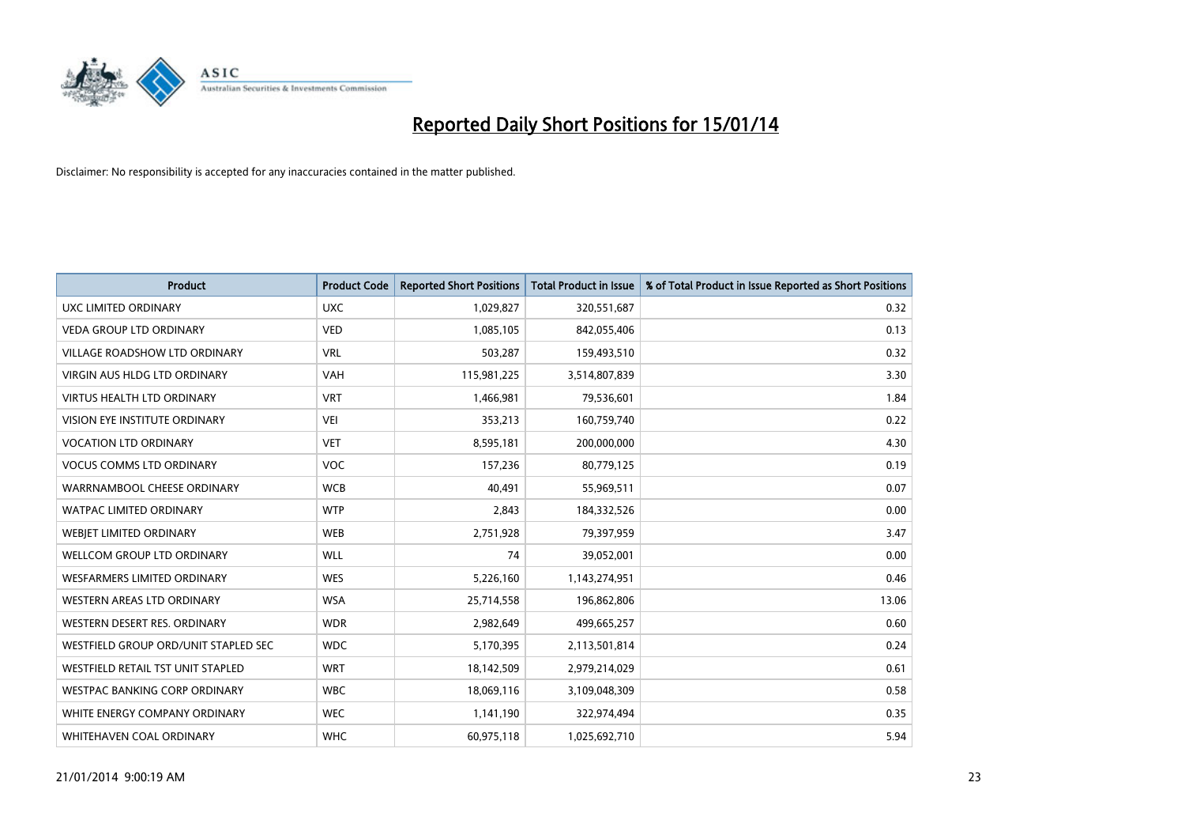

| <b>Product</b>                       | <b>Product Code</b> | <b>Reported Short Positions</b> | <b>Total Product in Issue</b> | % of Total Product in Issue Reported as Short Positions |
|--------------------------------------|---------------------|---------------------------------|-------------------------------|---------------------------------------------------------|
| UXC LIMITED ORDINARY                 | <b>UXC</b>          | 1,029,827                       | 320,551,687                   | 0.32                                                    |
| <b>VEDA GROUP LTD ORDINARY</b>       | <b>VED</b>          | 1,085,105                       | 842,055,406                   | 0.13                                                    |
| <b>VILLAGE ROADSHOW LTD ORDINARY</b> | <b>VRL</b>          | 503,287                         | 159,493,510                   | 0.32                                                    |
| <b>VIRGIN AUS HLDG LTD ORDINARY</b>  | <b>VAH</b>          | 115,981,225                     | 3,514,807,839                 | 3.30                                                    |
| <b>VIRTUS HEALTH LTD ORDINARY</b>    | <b>VRT</b>          | 1,466,981                       | 79,536,601                    | 1.84                                                    |
| <b>VISION EYE INSTITUTE ORDINARY</b> | <b>VEI</b>          | 353,213                         | 160,759,740                   | 0.22                                                    |
| <b>VOCATION LTD ORDINARY</b>         | <b>VET</b>          | 8,595,181                       | 200,000,000                   | 4.30                                                    |
| <b>VOCUS COMMS LTD ORDINARY</b>      | VOC                 | 157,236                         | 80,779,125                    | 0.19                                                    |
| WARRNAMBOOL CHEESE ORDINARY          | <b>WCB</b>          | 40,491                          | 55,969,511                    | 0.07                                                    |
| <b>WATPAC LIMITED ORDINARY</b>       | <b>WTP</b>          | 2,843                           | 184,332,526                   | 0.00                                                    |
| WEBIET LIMITED ORDINARY              | <b>WEB</b>          | 2,751,928                       | 79,397,959                    | 3.47                                                    |
| <b>WELLCOM GROUP LTD ORDINARY</b>    | <b>WLL</b>          | 74                              | 39,052,001                    | 0.00                                                    |
| <b>WESFARMERS LIMITED ORDINARY</b>   | <b>WES</b>          | 5,226,160                       | 1,143,274,951                 | 0.46                                                    |
| <b>WESTERN AREAS LTD ORDINARY</b>    | <b>WSA</b>          | 25,714,558                      | 196,862,806                   | 13.06                                                   |
| WESTERN DESERT RES. ORDINARY         | <b>WDR</b>          | 2,982,649                       | 499,665,257                   | 0.60                                                    |
| WESTFIELD GROUP ORD/UNIT STAPLED SEC | <b>WDC</b>          | 5,170,395                       | 2,113,501,814                 | 0.24                                                    |
| WESTFIELD RETAIL TST UNIT STAPLED    | <b>WRT</b>          | 18,142,509                      | 2,979,214,029                 | 0.61                                                    |
| <b>WESTPAC BANKING CORP ORDINARY</b> | <b>WBC</b>          | 18,069,116                      | 3,109,048,309                 | 0.58                                                    |
| WHITE ENERGY COMPANY ORDINARY        | <b>WEC</b>          | 1,141,190                       | 322,974,494                   | 0.35                                                    |
| WHITEHAVEN COAL ORDINARY             | <b>WHC</b>          | 60,975,118                      | 1,025,692,710                 | 5.94                                                    |